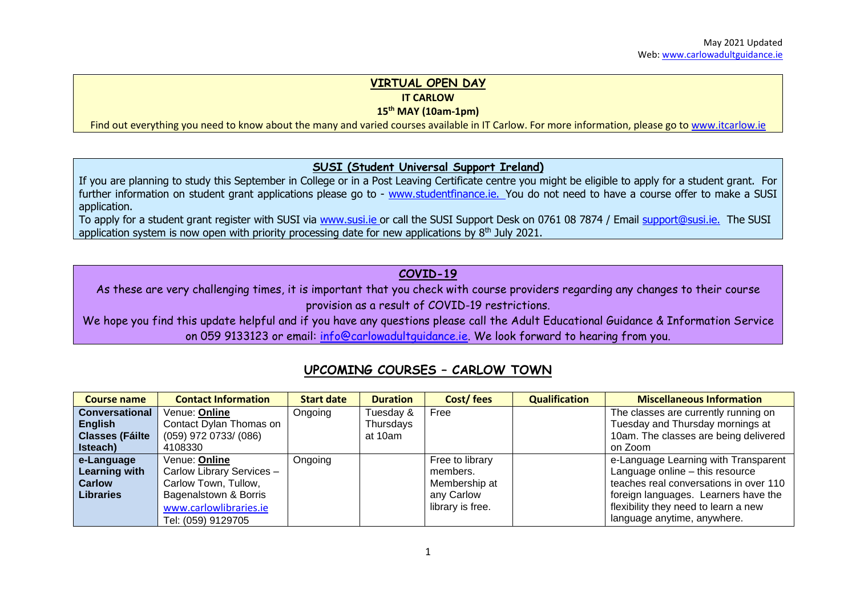# **VIRTUAL OPEN DAY**

**IT CARLOW**

**15th MAY (10am-1pm)**

Find out everything you need to know about the many and varied courses available in IT Carlow. For more information, please go t[o www.itcarlow.ie](http://www.itcarlow.ie/)

#### **SUSI (Student Universal Support Ireland)**

If you are planning to study this September in College or in a Post Leaving Certificate centre you might be eligible to apply for a student grant. For further information on student grant applications please go to - [www.studentfinance.ie.](http://www.studentfinance.ie/) You do not need to have a course offer to make a SUSI application.

To apply for a student grant register with SUSI via [www.susi.ie](http://www.susi.ie/) or call the SUSI Support Desk on 0761 08 7874 / Email [support@susi.ie.](mailto:support@susi.ie) The SUSI application system is now open with priority processing date for new applications by  $8<sup>th</sup>$  July 2021.

### **COVID-19**

As these are very challenging times, it is important that you check with course providers regarding any changes to their course provision as a result of COVID-19 restrictions.

We hope you find this update helpful and if you have any questions please call the Adult Educational Guidance & Information Service on 059 9133123 or email: [info@carlowadultguidance.ie.](mailto:info@carlowadultguidance.ie) We look forward to hearing from you.

## **UPCOMING COURSES – CARLOW TOWN**

| Course name             | <b>Contact Information</b> | <b>Start date</b> | <b>Duration</b> | <b>Cost/fees</b> | <b>Qualification</b> | <b>Miscellaneous Information</b>       |
|-------------------------|----------------------------|-------------------|-----------------|------------------|----------------------|----------------------------------------|
| <b>Conversational</b>   | Venue: Online              | Ongoing           | Tuesday &       | Free             |                      | The classes are currently running on   |
| <b>English</b>          | Contact Dylan Thomas on    |                   | Thursdays       |                  |                      | Tuesday and Thursday mornings at       |
| <b>Classes (Fáilte)</b> | $(059)$ 972 0733/ $(086)$  |                   | at 10am         |                  |                      | 10am. The classes are being delivered  |
| Isteach)                | 4108330                    |                   |                 |                  |                      | on Zoom                                |
| e-Language              | Venue: Online              | Ongoing           |                 | Free to library  |                      | e-Language Learning with Transparent   |
| <b>Learning with</b>    | Carlow Library Services -  |                   |                 | members.         |                      | Language online - this resource        |
| <b>Carlow</b>           | Carlow Town, Tullow,       |                   |                 | Membership at    |                      | teaches real conversations in over 110 |
| <b>Libraries</b>        | Bagenalstown & Borris      |                   |                 | any Carlow       |                      | foreign languages. Learners have the   |
|                         | www.carlowlibraries.ie     |                   |                 | library is free. |                      | flexibility they need to learn a new   |
|                         | Tel: (059) 9129705         |                   |                 |                  |                      | language anytime, anywhere.            |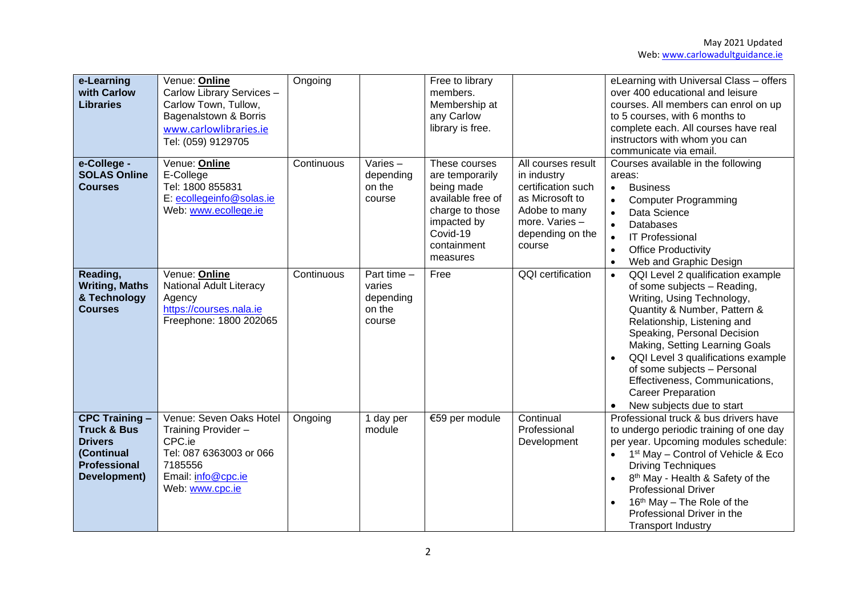| e-Learning<br>with Carlow<br><b>Libraries</b>                                                                          | Venue: Online<br>Carlow Library Services -<br>Carlow Town, Tullow,<br>Bagenalstown & Borris<br>www.carlowlibraries.ie<br>Tel: (059) 9129705 | Ongoing    |                                                          | Free to library<br>members.<br>Membership at<br>any Carlow<br>library is free.                                                               |                                                                                                                                             | eLearning with Universal Class - offers<br>over 400 educational and leisure<br>courses. All members can enrol on up<br>to 5 courses, with 6 months to<br>complete each. All courses have real<br>instructors with whom you can<br>communicate via email.                                                                                                                                                     |
|------------------------------------------------------------------------------------------------------------------------|---------------------------------------------------------------------------------------------------------------------------------------------|------------|----------------------------------------------------------|----------------------------------------------------------------------------------------------------------------------------------------------|---------------------------------------------------------------------------------------------------------------------------------------------|--------------------------------------------------------------------------------------------------------------------------------------------------------------------------------------------------------------------------------------------------------------------------------------------------------------------------------------------------------------------------------------------------------------|
| e-College -<br><b>SOLAS Online</b><br><b>Courses</b>                                                                   | Venue: Online<br>E-College<br>Tel: 1800 855831<br>E: ecollegeinfo@solas.ie<br>Web: www.ecollege.ie                                          | Continuous | Varies-<br>depending<br>on the<br>course                 | These courses<br>are temporarily<br>being made<br>available free of<br>charge to those<br>impacted by<br>Covid-19<br>containment<br>measures | All courses result<br>in industry<br>certification such<br>as Microsoft to<br>Adobe to many<br>more. Varies -<br>depending on the<br>course | Courses available in the following<br>areas:<br><b>Business</b><br>$\bullet$<br><b>Computer Programming</b><br>Data Science<br>$\bullet$<br><b>Databases</b><br>$\bullet$<br><b>IT Professional</b><br>$\bullet$<br><b>Office Productivity</b><br>$\bullet$<br>Web and Graphic Design                                                                                                                        |
| Reading,<br><b>Writing, Maths</b><br>& Technology<br><b>Courses</b>                                                    | Venue: Online<br>National Adult Literacy<br>Agency<br>https://courses.nala.ie<br>Freephone: 1800 202065                                     | Continuous | Part time $-$<br>varies<br>depending<br>on the<br>course | Free                                                                                                                                         | QQI certification                                                                                                                           | QQI Level 2 qualification example<br>$\bullet$<br>of some subjects - Reading,<br>Writing, Using Technology,<br>Quantity & Number, Pattern &<br>Relationship, Listening and<br>Speaking, Personal Decision<br>Making, Setting Learning Goals<br>QQI Level 3 qualifications example<br>of some subjects - Personal<br>Effectiveness, Communications,<br><b>Career Preparation</b><br>New subjects due to start |
| <b>CPC Training -</b><br><b>Truck &amp; Bus</b><br><b>Drivers</b><br>(Continual<br><b>Professional</b><br>Development) | Venue: Seven Oaks Hotel<br>Training Provider -<br>CPC.ie<br>Tel: 087 6363003 or 066<br>7185556<br>Email: info@cpc.ie<br>Web: www.cpc.ie     | Ongoing    | 1 day per<br>module                                      | €59 per module                                                                                                                               | Continual<br>Professional<br>Development                                                                                                    | Professional truck & bus drivers have<br>to undergo periodic training of one day<br>per year. Upcoming modules schedule:<br>1 <sup>st</sup> May - Control of Vehicle & Eco<br><b>Driving Techniques</b><br>8 <sup>th</sup> May - Health & Safety of the<br><b>Professional Driver</b><br>16 <sup>th</sup> May – The Role of the<br>Professional Driver in the<br><b>Transport Industry</b>                   |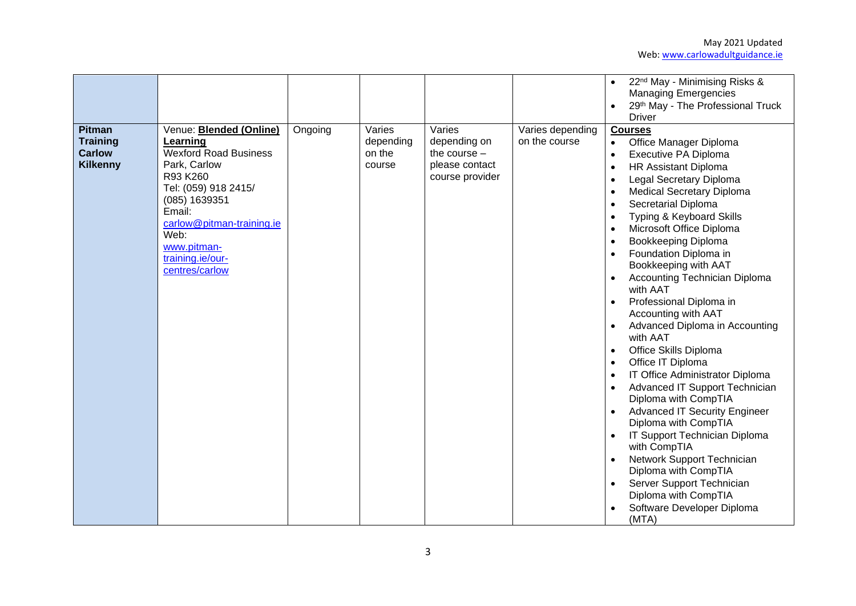|                                                                      |                                                                                                                                                                                                                                                     |         |                                         |                                                                               |                                   | 22 <sup>nd</sup> May - Minimising Risks &<br><b>Managing Emergencies</b><br>29th May - The Professional Truck<br><b>Driver</b>                                                                                                                                                                                                                                                                                                                                                                                                                                                                                                                                                                                                                                                                                                                                                                                    |
|----------------------------------------------------------------------|-----------------------------------------------------------------------------------------------------------------------------------------------------------------------------------------------------------------------------------------------------|---------|-----------------------------------------|-------------------------------------------------------------------------------|-----------------------------------|-------------------------------------------------------------------------------------------------------------------------------------------------------------------------------------------------------------------------------------------------------------------------------------------------------------------------------------------------------------------------------------------------------------------------------------------------------------------------------------------------------------------------------------------------------------------------------------------------------------------------------------------------------------------------------------------------------------------------------------------------------------------------------------------------------------------------------------------------------------------------------------------------------------------|
| <b>Pitman</b><br><b>Training</b><br><b>Carlow</b><br><b>Kilkenny</b> | Venue: <b>Blended (Online)</b><br>Learning<br><b>Wexford Road Business</b><br>Park, Carlow<br>R93 K260<br>Tel: (059) 918 2415/<br>(085) 1639351<br>Email:<br>carlow@pitman-training.ie<br>Web:<br>www.pitman-<br>training.ie/our-<br>centres/carlow | Ongoing | Varies<br>depending<br>on the<br>course | Varies<br>depending on<br>the course $-$<br>please contact<br>course provider | Varies depending<br>on the course | <b>Courses</b><br>Office Manager Diploma<br>$\bullet$<br>Executive PA Diploma<br>$\bullet$<br><b>HR Assistant Diploma</b><br>Legal Secretary Diploma<br><b>Medical Secretary Diploma</b><br>Secretarial Diploma<br>Typing & Keyboard Skills<br>Microsoft Office Diploma<br>Bookkeeping Diploma<br>Foundation Diploma in<br>Bookkeeping with AAT<br><b>Accounting Technician Diploma</b><br>with AAT<br>Professional Diploma in<br>Accounting with AAT<br>Advanced Diploma in Accounting<br>with AAT<br>Office Skills Diploma<br>Office IT Diploma<br>IT Office Administrator Diploma<br>Advanced IT Support Technician<br>Diploma with CompTIA<br><b>Advanced IT Security Engineer</b><br>Diploma with CompTIA<br>IT Support Technician Diploma<br>with CompTIA<br>Network Support Technician<br>Diploma with CompTIA<br>Server Support Technician<br>Diploma with CompTIA<br>Software Developer Diploma<br>(MTA) |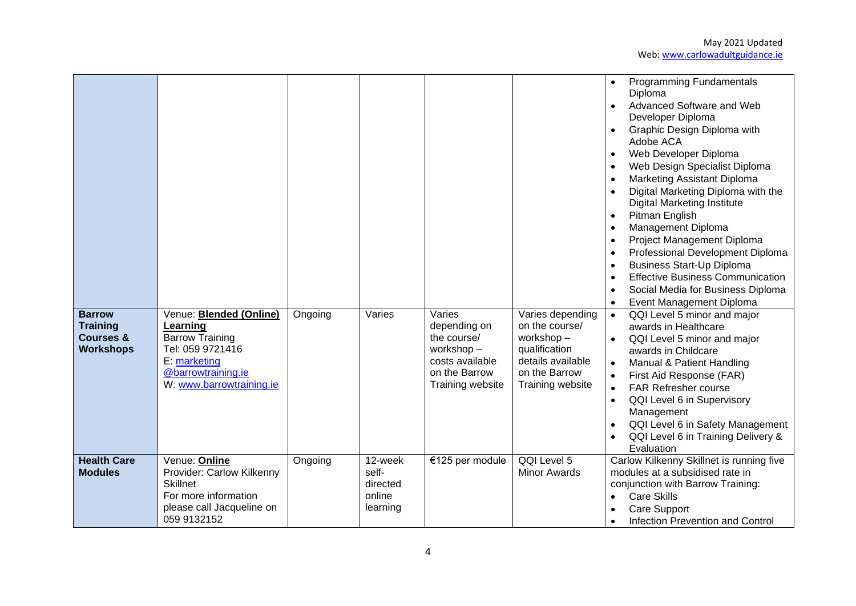| <b>Barrow</b><br><b>Training</b><br><b>Courses &amp;</b><br><b>Workshops</b> | Venue: <b>Blended (Online)</b><br>Learning<br><b>Barrow Training</b><br>Tel: 059 9721416<br>E: marketing<br>@barrowtraining.ie<br>W: www.barrowtraining.ie | Ongoing | Varies                                 | Varies<br>depending on<br>the course/<br>workshop-<br>costs available<br>on the Barrow<br>Training website | Varies depending<br>on the course/<br>workshop-<br>qualification<br>details available<br>on the Barrow<br>Training website | <b>Programming Fundamentals</b><br>Diploma<br>Advanced Software and Web<br>$\bullet$<br>Developer Diploma<br>Graphic Design Diploma with<br>$\bullet$<br>Adobe ACA<br>Web Developer Diploma<br>$\bullet$<br>Web Design Specialist Diploma<br>$\bullet$<br>Marketing Assistant Diploma<br>$\bullet$<br>Digital Marketing Diploma with the<br><b>Digital Marketing Institute</b><br>Pitman English<br>$\bullet$<br>Management Diploma<br>$\bullet$<br>Project Management Diploma<br>$\bullet$<br>Professional Development Diploma<br>$\bullet$<br><b>Business Start-Up Diploma</b><br>$\bullet$<br><b>Effective Business Communication</b><br>$\bullet$<br>Social Media for Business Diploma<br>Event Management Diploma<br>QQI Level 5 minor and major<br>$\bullet$<br>awards in Healthcare<br>QQI Level 5 minor and major<br>awards in Childcare<br>Manual & Patient Handling<br>First Aid Response (FAR)<br>$\bullet$<br><b>FAR Refresher course</b><br>$\bullet$<br>QQI Level 6 in Supervisory<br>$\bullet$<br>Management<br>QQI Level 6 in Safety Management<br>QQI Level 6 in Training Delivery & |
|------------------------------------------------------------------------------|------------------------------------------------------------------------------------------------------------------------------------------------------------|---------|----------------------------------------|------------------------------------------------------------------------------------------------------------|----------------------------------------------------------------------------------------------------------------------------|-------------------------------------------------------------------------------------------------------------------------------------------------------------------------------------------------------------------------------------------------------------------------------------------------------------------------------------------------------------------------------------------------------------------------------------------------------------------------------------------------------------------------------------------------------------------------------------------------------------------------------------------------------------------------------------------------------------------------------------------------------------------------------------------------------------------------------------------------------------------------------------------------------------------------------------------------------------------------------------------------------------------------------------------------------------------------------------------------------|
| <b>Health Care</b><br><b>Modules</b>                                         | Venue: Online<br>Provider: Carlow Kilkenny<br><b>Skillnet</b><br>For more information                                                                      | Ongoing | 12-week<br>self-<br>directed<br>online | €125 per module                                                                                            | QQI Level 5<br><b>Minor Awards</b>                                                                                         | Evaluation<br>Carlow Kilkenny Skillnet is running five<br>modules at a subsidised rate in<br>conjunction with Barrow Training:<br><b>Care Skills</b><br>$\bullet$                                                                                                                                                                                                                                                                                                                                                                                                                                                                                                                                                                                                                                                                                                                                                                                                                                                                                                                                     |
|                                                                              | please call Jacqueline on<br>059 9132152                                                                                                                   |         | learning                               |                                                                                                            |                                                                                                                            | Care Support<br>Infection Prevention and Control<br>$\bullet$                                                                                                                                                                                                                                                                                                                                                                                                                                                                                                                                                                                                                                                                                                                                                                                                                                                                                                                                                                                                                                         |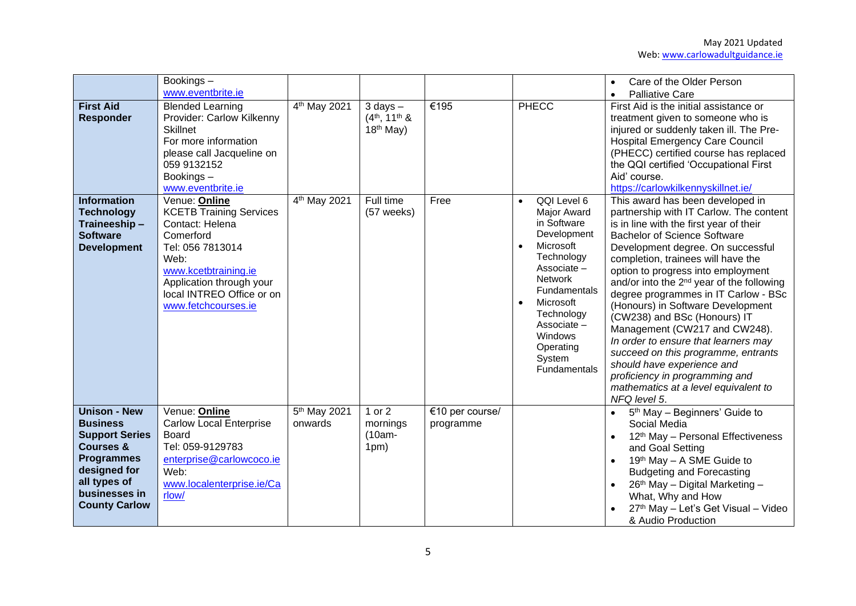|                                                                                                                                                                                       | $\overline{\text{Bookings}}$ –<br>www.eventbrite.ie                                                                                                                                                                 |                                     |                                               |                              |                                                                                                                                                                                                                                                                  | Care of the Older Person<br><b>Palliative Care</b><br>$\bullet$                                                                                                                                                                                                                                                                                                                                                                                                                                                                                                                                                                                                                              |
|---------------------------------------------------------------------------------------------------------------------------------------------------------------------------------------|---------------------------------------------------------------------------------------------------------------------------------------------------------------------------------------------------------------------|-------------------------------------|-----------------------------------------------|------------------------------|------------------------------------------------------------------------------------------------------------------------------------------------------------------------------------------------------------------------------------------------------------------|----------------------------------------------------------------------------------------------------------------------------------------------------------------------------------------------------------------------------------------------------------------------------------------------------------------------------------------------------------------------------------------------------------------------------------------------------------------------------------------------------------------------------------------------------------------------------------------------------------------------------------------------------------------------------------------------|
| <b>First Aid</b><br><b>Responder</b>                                                                                                                                                  | <b>Blended Learning</b><br>Provider: Carlow Kilkenny<br><b>Skillnet</b><br>For more information<br>please call Jacqueline on<br>059 9132152<br>Bookings-<br>www.eventbrite.ie                                       | 4 <sup>th</sup> May 2021            | $3$ days $-$<br>$(4th, 11th$ &<br>$18th$ May) | €195                         | <b>PHECC</b>                                                                                                                                                                                                                                                     | First Aid is the initial assistance or<br>treatment given to someone who is<br>injured or suddenly taken ill. The Pre-<br><b>Hospital Emergency Care Council</b><br>(PHECC) certified course has replaced<br>the QQI certified 'Occupational First<br>Aid' course.<br>https://carlowkilkennyskillnet.ie/                                                                                                                                                                                                                                                                                                                                                                                     |
| <b>Information</b><br><b>Technology</b><br>Traineeship-<br><b>Software</b><br><b>Development</b>                                                                                      | Venue: Online<br><b>KCETB Training Services</b><br>Contact: Helena<br>Comerford<br>Tel: 056 7813014<br>Web:<br>www.kcetbtraining.ie<br>Application through your<br>local INTREO Office or on<br>www.fetchcourses.ie | 4 <sup>th</sup> May 2021            | Full time<br>(57 weeks)                       | Free                         | QQI Level 6<br><b>Major Award</b><br>in Software<br>Development<br>Microsoft<br>$\bullet$<br>Technology<br>Associate -<br><b>Network</b><br>Fundamentals<br>Microsoft<br>$\bullet$<br>Technology<br>Associate-<br>Windows<br>Operating<br>System<br>Fundamentals | This award has been developed in<br>partnership with IT Carlow. The content<br>is in line with the first year of their<br><b>Bachelor of Science Software</b><br>Development degree. On successful<br>completion, trainees will have the<br>option to progress into employment<br>and/or into the 2 <sup>nd</sup> year of the following<br>degree programmes in IT Carlow - BSc<br>(Honours) in Software Development<br>(CW238) and BSc (Honours) IT<br>Management (CW217 and CW248).<br>In order to ensure that learners may<br>succeed on this programme, entrants<br>should have experience and<br>proficiency in programming and<br>mathematics at a level equivalent to<br>NFQ level 5. |
| <b>Unison - New</b><br><b>Business</b><br><b>Support Series</b><br><b>Courses &amp;</b><br><b>Programmes</b><br>designed for<br>all types of<br>businesses in<br><b>County Carlow</b> | Venue: Online<br><b>Carlow Local Enterprise</b><br>Board<br>Tel: 059-9129783<br>enterprise@carlowcoco.ie<br>Web:<br>www.localenterprise.ie/Ca<br>rlow/                                                              | 5 <sup>th</sup> May 2021<br>onwards | 1 or $2$<br>mornings<br>$(10am -$<br>1pm)     | €10 per course/<br>programme |                                                                                                                                                                                                                                                                  | 5 <sup>th</sup> May - Beginners' Guide to<br>Social Media<br>12 <sup>th</sup> May - Personal Effectiveness<br>and Goal Setting<br>19th May - A SME Guide to<br><b>Budgeting and Forecasting</b><br>26th May - Digital Marketing -<br>What, Why and How<br>27th May - Let's Get Visual - Video<br>& Audio Production                                                                                                                                                                                                                                                                                                                                                                          |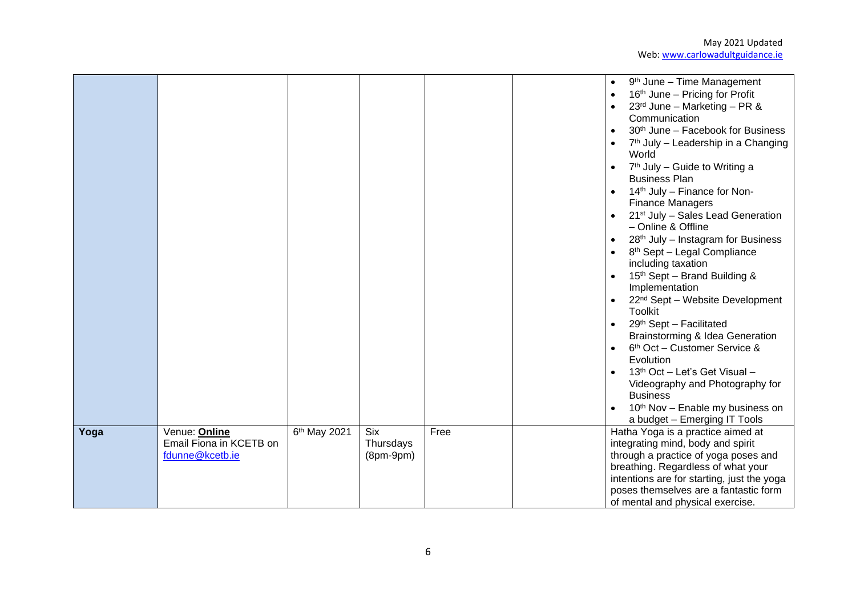|      |                                                             |                          |                                 |      | 9 <sup>th</sup> June - Time Management<br>$\bullet$<br>16 <sup>th</sup> June – Pricing for Profit<br>$\bullet$<br>$23^{rd}$ June - Marketing - PR &<br>Communication<br>30 <sup>th</sup> June - Facebook for Business<br>$\bullet$<br>7 <sup>th</sup> July – Leadership in a Changing<br>World<br>7 <sup>th</sup> July - Guide to Writing a<br><b>Business Plan</b><br>14 <sup>th</sup> July – Finance for Non-<br><b>Finance Managers</b><br>21 <sup>st</sup> July - Sales Lead Generation<br>- Online & Offline<br>28 <sup>th</sup> July - Instagram for Business<br>$\bullet$<br>8 <sup>th</sup> Sept - Legal Compliance<br>including taxation<br>15th Sept - Brand Building &<br>$\bullet$<br>Implementation<br>22 <sup>nd</sup> Sept - Website Development<br>$\bullet$<br><b>Toolkit</b><br>29th Sept - Facilitated<br>$\bullet$<br>Brainstorming & Idea Generation<br>6 <sup>th</sup> Oct - Customer Service &<br>$\bullet$<br>Evolution<br>13 <sup>th</sup> Oct - Let's Get Visual -<br>Videography and Photography for<br><b>Business</b><br>10 <sup>th</sup> Nov - Enable my business on<br>a budget - Emerging IT Tools |
|------|-------------------------------------------------------------|--------------------------|---------------------------------|------|------------------------------------------------------------------------------------------------------------------------------------------------------------------------------------------------------------------------------------------------------------------------------------------------------------------------------------------------------------------------------------------------------------------------------------------------------------------------------------------------------------------------------------------------------------------------------------------------------------------------------------------------------------------------------------------------------------------------------------------------------------------------------------------------------------------------------------------------------------------------------------------------------------------------------------------------------------------------------------------------------------------------------------------------------------------------------------------------------------------------------------|
| Yoga | Venue: Online<br>Email Fiona in KCETB on<br>fdunne@kcetb.ie | 6 <sup>th</sup> May 2021 | Six<br>Thursdays<br>$(8pm-9pm)$ | Free | Hatha Yoga is a practice aimed at<br>integrating mind, body and spirit<br>through a practice of yoga poses and<br>breathing. Regardless of what your<br>intentions are for starting, just the yoga<br>poses themselves are a fantastic form<br>of mental and physical exercise.                                                                                                                                                                                                                                                                                                                                                                                                                                                                                                                                                                                                                                                                                                                                                                                                                                                    |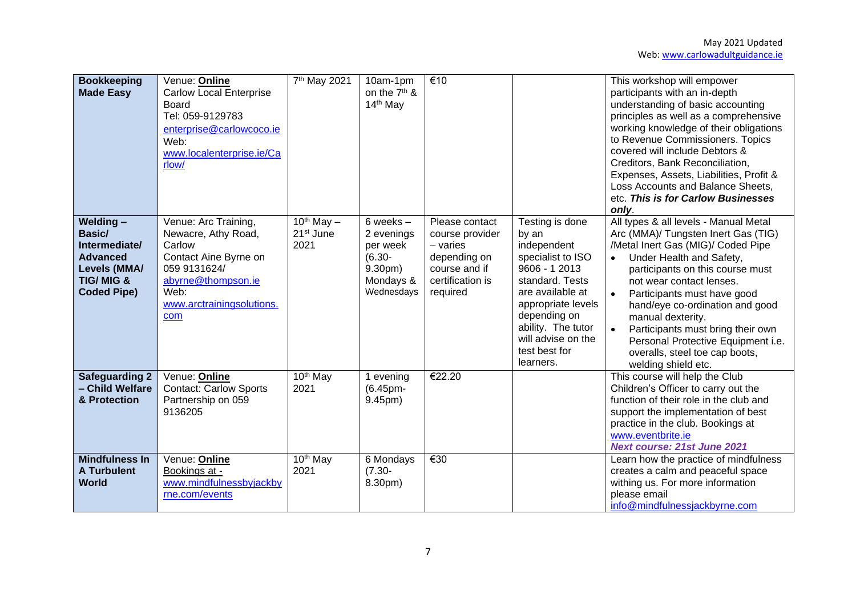| <b>Bookkeeping</b><br><b>Made Easy</b>                                                                               | Venue: Online<br><b>Carlow Local Enterprise</b><br>Board<br>Tel: 059-9129783<br>enterprise@carlowcoco.ie<br>Web:<br>www.localenterprise.ie/Ca<br>rlow/           | 7 <sup>th</sup> May 2021                           | 10am-1pm<br>on the 7 <sup>th</sup> &<br>14 <sup>th</sup> May                                        | €10                                                                                                              |                                                                                                                                                                                                                                      | This workshop will empower<br>participants with an in-depth<br>understanding of basic accounting<br>principles as well as a comprehensive<br>working knowledge of their obligations<br>to Revenue Commissioners. Topics<br>covered will include Debtors &<br>Creditors, Bank Reconciliation,<br>Expenses, Assets, Liabilities, Profit &<br>Loss Accounts and Balance Sheets,<br>etc. This is for Carlow Businesses<br>only.                                                      |
|----------------------------------------------------------------------------------------------------------------------|------------------------------------------------------------------------------------------------------------------------------------------------------------------|----------------------------------------------------|-----------------------------------------------------------------------------------------------------|------------------------------------------------------------------------------------------------------------------|--------------------------------------------------------------------------------------------------------------------------------------------------------------------------------------------------------------------------------------|----------------------------------------------------------------------------------------------------------------------------------------------------------------------------------------------------------------------------------------------------------------------------------------------------------------------------------------------------------------------------------------------------------------------------------------------------------------------------------|
| Welding-<br>Basic/<br>Intermediate/<br><b>Advanced</b><br>Levels (MMA/<br><b>TIG/MIG &amp;</b><br><b>Coded Pipe)</b> | Venue: Arc Training,<br>Newacre, Athy Road,<br>Carlow<br>Contact Aine Byrne on<br>059 9131624/<br>abyrne@thompson.ie<br>Web:<br>www.arctrainingsolutions.<br>com | $10^{th}$ May $-$<br>21 <sup>st</sup> June<br>2021 | 6 weeks $-$<br>2 evenings<br>per week<br>$(6.30 -$<br>9.30 <sub>pm</sub><br>Mondays &<br>Wednesdays | Please contact<br>course provider<br>$-$ varies<br>depending on<br>course and if<br>certification is<br>required | Testing is done<br>by an<br>independent<br>specialist to ISO<br>9606 - 1 2013<br>standard. Tests<br>are available at<br>appropriate levels<br>depending on<br>ability. The tutor<br>will advise on the<br>test best for<br>learners. | All types & all levels - Manual Metal<br>Arc (MMA)/ Tungsten Inert Gas (TIG)<br>/Metal Inert Gas (MIG)/ Coded Pipe<br>Under Health and Safety,<br>$\bullet$<br>participants on this course must<br>not wear contact lenses.<br>Participants must have good<br>$\bullet$<br>hand/eye co-ordination and good<br>manual dexterity.<br>$\bullet$<br>Participants must bring their own<br>Personal Protective Equipment i.e.<br>overalls, steel toe cap boots,<br>welding shield etc. |
| <b>Safeguarding 2</b><br>- Child Welfare<br>& Protection                                                             | Venue: Online<br><b>Contact: Carlow Sports</b><br>Partnership on 059<br>9136205                                                                                  | 10 <sup>th</sup> May<br>2021                       | 1 evening<br>(6.45pm-<br>9.45pm)                                                                    | €22.20                                                                                                           |                                                                                                                                                                                                                                      | This course will help the Club<br>Children's Officer to carry out the<br>function of their role in the club and<br>support the implementation of best<br>practice in the club. Bookings at<br>www.eventbrite.ie<br><b>Next course: 21st June 2021</b>                                                                                                                                                                                                                            |
| <b>Mindfulness In</b><br><b>A Turbulent</b><br><b>World</b>                                                          | Venue: Online<br>Bookings at -<br>www.mindfulnessbyjackby<br>rne.com/events                                                                                      | 10 <sup>th</sup> May<br>2021                       | 6 Mondays<br>$(7.30 -$<br>8.30pm)                                                                   | €30                                                                                                              |                                                                                                                                                                                                                                      | Learn how the practice of mindfulness<br>creates a calm and peaceful space<br>withing us. For more information<br>please email<br>info@mindfulnessjackbyrne.com                                                                                                                                                                                                                                                                                                                  |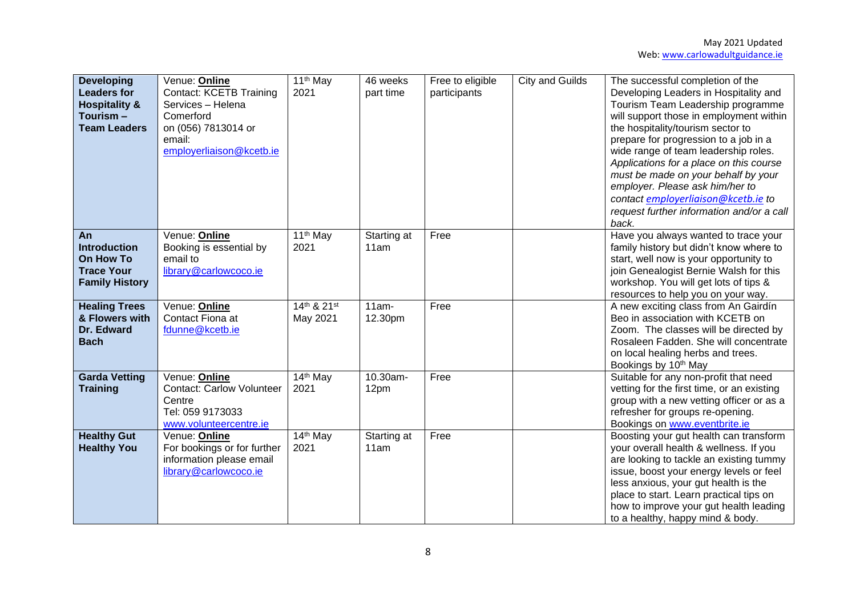| <b>Developing</b><br><b>Leaders for</b><br><b>Hospitality &amp;</b><br>Tourism –<br><b>Team Leaders</b> | Venue: Online<br><b>Contact: KCETB Training</b><br>Services - Helena<br>Comerford<br>on (056) 7813014 or<br>email:<br>employerliaison@kcetb.ie | 11 <sup>th</sup> May<br>2021 | 46 weeks<br>part time | Free to eligible<br>participants | <b>City and Guilds</b> | The successful completion of the<br>Developing Leaders in Hospitality and<br>Tourism Team Leadership programme<br>will support those in employment within<br>the hospitality/tourism sector to<br>prepare for progression to a job in a<br>wide range of team leadership roles.<br>Applications for a place on this course<br>must be made on your behalf by your<br>employer. Please ask him/her to<br>contact employerliaison@kcetb.ie to<br>request further information and/or a call<br>back. |
|---------------------------------------------------------------------------------------------------------|------------------------------------------------------------------------------------------------------------------------------------------------|------------------------------|-----------------------|----------------------------------|------------------------|---------------------------------------------------------------------------------------------------------------------------------------------------------------------------------------------------------------------------------------------------------------------------------------------------------------------------------------------------------------------------------------------------------------------------------------------------------------------------------------------------|
| An<br><b>Introduction</b><br>On How To<br><b>Trace Your</b><br><b>Family History</b>                    | Venue: Online<br>Booking is essential by<br>email to<br>library@carlowcoco.ie                                                                  | 11 <sup>th</sup> May<br>2021 | Starting at<br>11am   | Free                             |                        | Have you always wanted to trace your<br>family history but didn't know where to<br>start, well now is your opportunity to<br>join Genealogist Bernie Walsh for this<br>workshop. You will get lots of tips &<br>resources to help you on your way.                                                                                                                                                                                                                                                |
| <b>Healing Trees</b><br>& Flowers with<br>Dr. Edward<br><b>Bach</b>                                     | Venue: Online<br>Contact Fiona at<br>fdunne@kcetb.ie                                                                                           | 14th & 21st<br>May 2021      | $11am -$<br>12.30pm   | Free                             |                        | A new exciting class from An Gairdín<br>Beo in association with KCETB on<br>Zoom. The classes will be directed by<br>Rosaleen Fadden. She will concentrate<br>on local healing herbs and trees.<br>Bookings by 10 <sup>th</sup> May                                                                                                                                                                                                                                                               |
| <b>Garda Vetting</b><br><b>Training</b>                                                                 | Venue: Online<br><b>Contact: Carlow Volunteer</b><br>Centre<br>Tel: 059 9173033<br>www.volunteercentre.ie                                      | $14th$ May<br>2021           | 10.30am-<br>12pm      | Free                             |                        | Suitable for any non-profit that need<br>vetting for the first time, or an existing<br>group with a new vetting officer or as a<br>refresher for groups re-opening.<br>Bookings on www.eventbrite.ie                                                                                                                                                                                                                                                                                              |
| <b>Healthy Gut</b><br><b>Healthy You</b>                                                                | Venue: Online<br>For bookings or for further<br>information please email<br>library@carlowcoco.ie                                              | 14 <sup>th</sup> May<br>2021 | Starting at<br>11am   | Free                             |                        | Boosting your gut health can transform<br>your overall health & wellness. If you<br>are looking to tackle an existing tummy<br>issue, boost your energy levels or feel<br>less anxious, your gut health is the<br>place to start. Learn practical tips on<br>how to improve your gut health leading<br>to a healthy, happy mind & body.                                                                                                                                                           |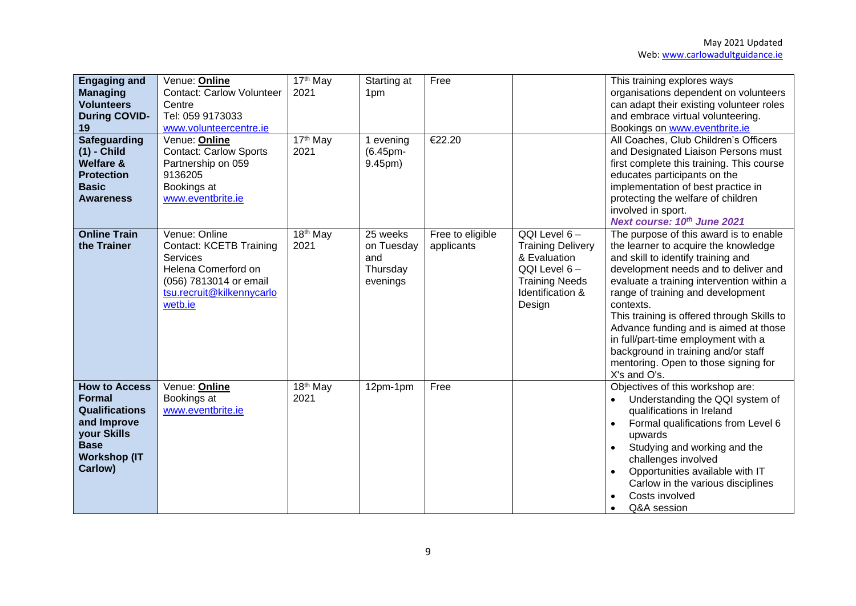| <b>Engaging and</b><br><b>Managing</b><br><b>Volunteers</b><br><b>During COVID-</b><br>19<br><b>Safeguarding</b><br>$(1)$ - Child<br><b>Welfare &amp;</b><br><b>Protection</b> | Venue: Online<br><b>Contact: Carlow Volunteer</b><br>Centre<br>Tel: 059 9173033<br>www.volunteercentre.ie<br>Venue: Online<br><b>Contact: Carlow Sports</b><br>Partnership on 059<br>9136205 | 17 <sup>th</sup> May<br>2021<br>17th May<br>2021 | Starting at<br>1pm<br>1 evening<br>(6.45pm-<br>9.45pm) | Free<br>€22.20                 |                                                                                                                                 | This training explores ways<br>organisations dependent on volunteers<br>can adapt their existing volunteer roles<br>and embrace virtual volunteering.<br>Bookings on www.eventbrite.ie<br>All Coaches, Club Children's Officers<br>and Designated Liaison Persons must<br>first complete this training. This course<br>educates participants on the                                                                                                                                      |
|--------------------------------------------------------------------------------------------------------------------------------------------------------------------------------|----------------------------------------------------------------------------------------------------------------------------------------------------------------------------------------------|--------------------------------------------------|--------------------------------------------------------|--------------------------------|---------------------------------------------------------------------------------------------------------------------------------|------------------------------------------------------------------------------------------------------------------------------------------------------------------------------------------------------------------------------------------------------------------------------------------------------------------------------------------------------------------------------------------------------------------------------------------------------------------------------------------|
| <b>Basic</b><br><b>Awareness</b>                                                                                                                                               | Bookings at<br>www.eventbrite.ie                                                                                                                                                             |                                                  |                                                        |                                |                                                                                                                                 | implementation of best practice in<br>protecting the welfare of children<br>involved in sport.<br>Next course: 10th June 2021                                                                                                                                                                                                                                                                                                                                                            |
| <b>Online Train</b><br>the Trainer                                                                                                                                             | Venue: Online<br><b>Contact: KCETB Training</b><br>Services<br>Helena Comerford on<br>(056) 7813014 or email<br>tsu.recruit@kilkennycarlo<br>wetb.ie                                         | 18 <sup>th</sup> May<br>2021                     | 25 weeks<br>on Tuesday<br>and<br>Thursday<br>evenings  | Free to eligible<br>applicants | QQI Level 6-<br><b>Training Delivery</b><br>& Evaluation<br>QQI Level 6-<br><b>Training Needs</b><br>Identification &<br>Design | The purpose of this award is to enable<br>the learner to acquire the knowledge<br>and skill to identify training and<br>development needs and to deliver and<br>evaluate a training intervention within a<br>range of training and development<br>contexts.<br>This training is offered through Skills to<br>Advance funding and is aimed at those<br>in full/part-time employment with a<br>background in training and/or staff<br>mentoring. Open to those signing for<br>X's and O's. |
| <b>How to Access</b><br><b>Formal</b><br><b>Qualifications</b><br>and Improve<br>your Skills<br><b>Base</b><br><b>Workshop (IT</b><br>Carlow)                                  | Venue: Online<br>Bookings at<br>www.eventbrite.ie                                                                                                                                            | 18 <sup>th</sup> May<br>2021                     | 12pm-1pm                                               | Free                           |                                                                                                                                 | Objectives of this workshop are:<br>Understanding the QQI system of<br>$\bullet$<br>qualifications in Ireland<br>Formal qualifications from Level 6<br>$\bullet$<br>upwards<br>Studying and working and the<br>$\bullet$<br>challenges involved<br>Opportunities available with IT<br>Carlow in the various disciplines<br>Costs involved<br>Q&A session<br>$\bullet$                                                                                                                    |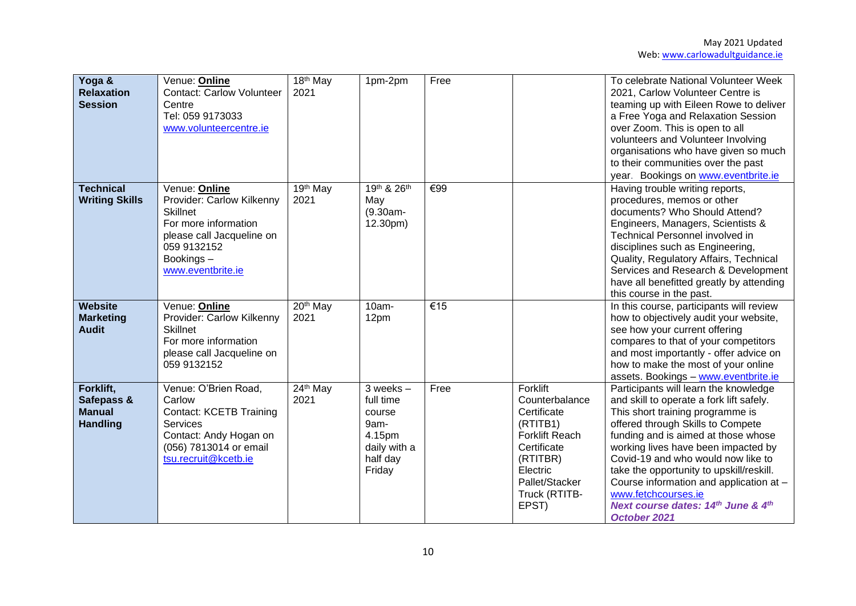| Yoga &<br><b>Relaxation</b><br><b>Session</b>               | Venue: Online<br><b>Contact: Carlow Volunteer</b><br>Centre<br>Tel: 059 9173033<br>www.volunteercentre.ie                                                           | $\overline{18}$ <sup>th</sup> May<br>2021 | 1pm-2pm                                                                                      | Free |                                                                                                                                                                   | To celebrate National Volunteer Week<br>2021, Carlow Volunteer Centre is<br>teaming up with Eileen Rowe to deliver<br>a Free Yoga and Relaxation Session<br>over Zoom. This is open to all<br>volunteers and Volunteer Involving<br>organisations who have given so much<br>to their communities over the past<br>year. Bookings on www.eventbrite.ie                                                                                              |
|-------------------------------------------------------------|---------------------------------------------------------------------------------------------------------------------------------------------------------------------|-------------------------------------------|----------------------------------------------------------------------------------------------|------|-------------------------------------------------------------------------------------------------------------------------------------------------------------------|----------------------------------------------------------------------------------------------------------------------------------------------------------------------------------------------------------------------------------------------------------------------------------------------------------------------------------------------------------------------------------------------------------------------------------------------------|
| <b>Technical</b><br><b>Writing Skills</b>                   | Venue: Online<br>Provider: Carlow Kilkenny<br><b>Skillnet</b><br>For more information<br>please call Jacqueline on<br>059 9132152<br>Bookings-<br>www.eventbrite.ie | 19th May<br>2021                          | 19th & 26th<br>May<br>(9.30am-<br>12.30pm)                                                   | €99  |                                                                                                                                                                   | Having trouble writing reports,<br>procedures, memos or other<br>documents? Who Should Attend?<br>Engineers, Managers, Scientists &<br>Technical Personnel involved in<br>disciplines such as Engineering,<br>Quality, Regulatory Affairs, Technical<br>Services and Research & Development<br>have all benefitted greatly by attending<br>this course in the past.                                                                                |
| Website<br><b>Marketing</b><br><b>Audit</b>                 | Venue: Online<br>Provider: Carlow Kilkenny<br><b>Skillnet</b><br>For more information<br>please call Jacqueline on<br>059 9132152                                   | 20 <sup>th</sup> May<br>2021              | 10am-<br>12pm                                                                                | €15  |                                                                                                                                                                   | In this course, participants will review<br>how to objectively audit your website,<br>see how your current offering<br>compares to that of your competitors<br>and most importantly - offer advice on<br>how to make the most of your online<br>assets. Bookings - www.eventbrite.ie                                                                                                                                                               |
| Forklift,<br>Safepass &<br><b>Manual</b><br><b>Handling</b> | Venue: O'Brien Road,<br>Carlow<br><b>Contact: KCETB Training</b><br>Services<br>Contact: Andy Hogan on<br>(056) 7813014 or email<br>tsu.recruit@kcetb.ie            | 24th May<br>2021                          | $3$ weeks $-$<br>full time<br>course<br>9am-<br>4.15pm<br>daily with a<br>half day<br>Friday | Free | Forklift<br>Counterbalance<br>Certificate<br>(RTITB1)<br><b>Forklift Reach</b><br>Certificate<br>(RTITBR)<br>Electric<br>Pallet/Stacker<br>Truck (RTITB-<br>EPST) | Participants will learn the knowledge<br>and skill to operate a fork lift safely.<br>This short training programme is<br>offered through Skills to Compete<br>funding and is aimed at those whose<br>working lives have been impacted by<br>Covid-19 and who would now like to<br>take the opportunity to upskill/reskill.<br>Course information and application at -<br>www.fetchcourses.ie<br>Next course dates: 14th June & 4th<br>October 2021 |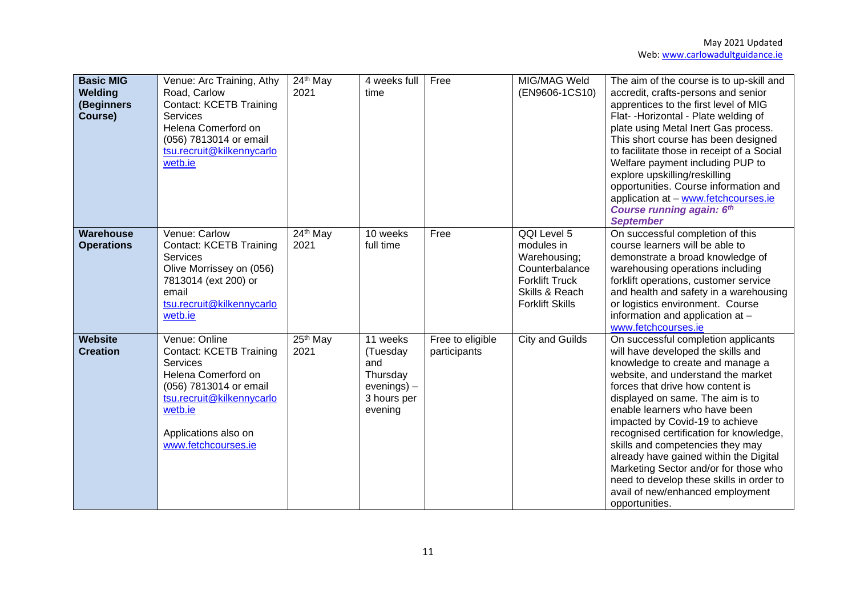| <b>Basic MIG</b><br>Welding<br>(Beginners<br>Course) | Venue: Arc Training, Athy<br>Road, Carlow<br><b>Contact: KCETB Training</b><br><b>Services</b><br>Helena Comerford on<br>(056) 7813014 or email<br>tsu.recruit@kilkennycarlo<br>wetb.ie             | 24th May<br>2021             | 4 weeks full<br>time                                                                | Free                             | MIG/MAG Weld<br>(EN9606-1CS10)                                                                                                   | The aim of the course is to up-skill and<br>accredit, crafts-persons and senior<br>apprentices to the first level of MIG<br>Flat- - Horizontal - Plate welding of<br>plate using Metal Inert Gas process.<br>This short course has been designed<br>to facilitate those in receipt of a Social<br>Welfare payment including PUP to<br>explore upskilling/reskilling<br>opportunities. Course information and<br>application at - www.fetchcourses.ie<br><b>Course running again: 6th</b><br><b>September</b>                                                        |
|------------------------------------------------------|-----------------------------------------------------------------------------------------------------------------------------------------------------------------------------------------------------|------------------------------|-------------------------------------------------------------------------------------|----------------------------------|----------------------------------------------------------------------------------------------------------------------------------|---------------------------------------------------------------------------------------------------------------------------------------------------------------------------------------------------------------------------------------------------------------------------------------------------------------------------------------------------------------------------------------------------------------------------------------------------------------------------------------------------------------------------------------------------------------------|
| Warehouse<br><b>Operations</b>                       | Venue: Carlow<br><b>Contact: KCETB Training</b><br>Services<br>Olive Morrissey on (056)<br>7813014 (ext 200) or<br>email<br>tsu.recruit@kilkennycarlo<br>wetb.ie                                    | 24th May<br>2021             | 10 weeks<br>full time                                                               | Free                             | QQI Level 5<br>modules in<br>Warehousing;<br>Counterbalance<br><b>Forklift Truck</b><br>Skills & Reach<br><b>Forklift Skills</b> | On successful completion of this<br>course learners will be able to<br>demonstrate a broad knowledge of<br>warehousing operations including<br>forklift operations, customer service<br>and health and safety in a warehousing<br>or logistics environment. Course<br>information and application at -<br>www.fetchcourses.ie                                                                                                                                                                                                                                       |
| <b>Website</b><br><b>Creation</b>                    | Venue: Online<br><b>Contact: KCETB Training</b><br>Services<br>Helena Comerford on<br>(056) 7813014 or email<br>tsu.recruit@kilkennycarlo<br>wetb.ie<br>Applications also on<br>www.fetchcourses.ie | 25 <sup>th</sup> May<br>2021 | 11 weeks<br>(Tuesday<br>and<br>Thursday<br>$evenings$ ) –<br>3 hours per<br>evening | Free to eligible<br>participants | <b>City and Guilds</b>                                                                                                           | On successful completion applicants<br>will have developed the skills and<br>knowledge to create and manage a<br>website, and understand the market<br>forces that drive how content is<br>displayed on same. The aim is to<br>enable learners who have been<br>impacted by Covid-19 to achieve<br>recognised certification for knowledge,<br>skills and competencies they may<br>already have gained within the Digital<br>Marketing Sector and/or for those who<br>need to develop these skills in order to<br>avail of new/enhanced employment<br>opportunities. |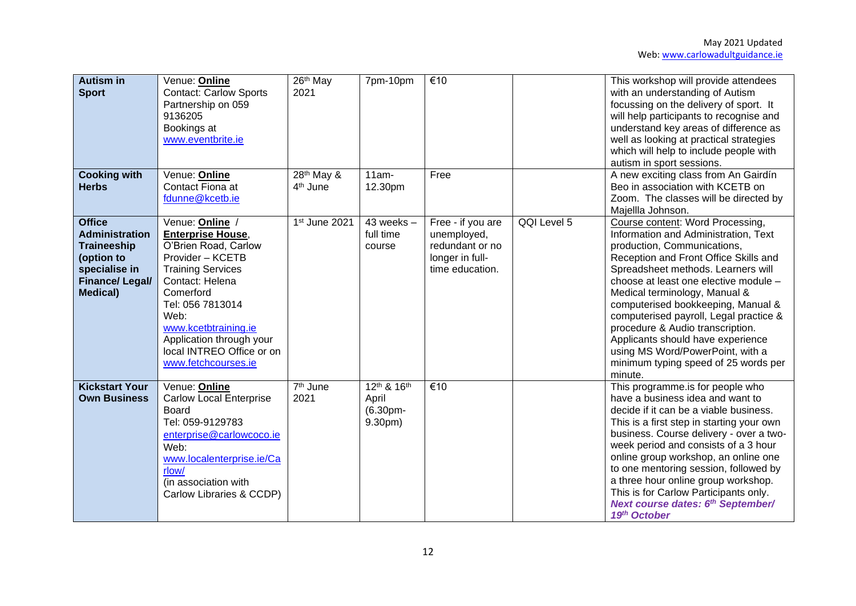| <b>Autism in</b><br><b>Sport</b><br><b>Cooking with</b><br><b>Herbs</b>                                                                  | Venue: <b>Online</b><br><b>Contact: Carlow Sports</b><br>Partnership on 059<br>9136205<br>Bookings at<br>www.eventbrite.ie<br>Venue: Online<br>Contact Fiona at<br>fdunne@kcetb.ie                                                                                                    | 26 <sup>th</sup> May<br>2021<br>28 <sup>th</sup> May &<br>4 <sup>th</sup> June | 7pm-10pm<br>$11am -$<br>12.30pm                | €10<br>Free                                                                               |             | This workshop will provide attendees<br>with an understanding of Autism<br>focussing on the delivery of sport. It<br>will help participants to recognise and<br>understand key areas of difference as<br>well as looking at practical strategies<br>which will help to include people with<br>autism in sport sessions.<br>A new exciting class from An Gairdín<br>Beo in association with KCETB on<br>Zoom. The classes will be directed by<br>Majellla Johnson.                                                |
|------------------------------------------------------------------------------------------------------------------------------------------|---------------------------------------------------------------------------------------------------------------------------------------------------------------------------------------------------------------------------------------------------------------------------------------|--------------------------------------------------------------------------------|------------------------------------------------|-------------------------------------------------------------------------------------------|-------------|------------------------------------------------------------------------------------------------------------------------------------------------------------------------------------------------------------------------------------------------------------------------------------------------------------------------------------------------------------------------------------------------------------------------------------------------------------------------------------------------------------------|
| <b>Office</b><br><b>Administration</b><br><b>Traineeship</b><br>(option to<br>specialise in<br><b>Finance/Legal/</b><br><b>Medical</b> ) | Venue: Online<br><b>Enterprise House,</b><br>O'Brien Road, Carlow<br>Provider - KCETB<br><b>Training Services</b><br>Contact: Helena<br>Comerford<br>Tel: 056 7813014<br>Web:<br>www.kcetbtraining.ie<br>Application through your<br>local INTREO Office or on<br>www.fetchcourses.ie | 1st June 2021                                                                  | $43$ weeks $-$<br>full time<br>course          | Free - if you are<br>unemployed,<br>redundant or no<br>longer in full-<br>time education. | QQI Level 5 | Course content: Word Processing,<br>Information and Administration, Text<br>production, Communications,<br>Reception and Front Office Skills and<br>Spreadsheet methods. Learners will<br>choose at least one elective module -<br>Medical terminology, Manual &<br>computerised bookkeeping, Manual &<br>computerised payroll, Legal practice &<br>procedure & Audio transcription.<br>Applicants should have experience<br>using MS Word/PowerPoint, with a<br>minimum typing speed of 25 words per<br>minute. |
| <b>Kickstart Your</b><br><b>Own Business</b>                                                                                             | Venue: Online<br><b>Carlow Local Enterprise</b><br><b>Board</b><br>Tel: 059-9129783<br>enterprise@carlowcoco.ie<br>Web:<br>www.localenterprise.ie/Ca<br>rlow/<br>(in association with<br>Carlow Libraries & CCDP)                                                                     | 7 <sup>th</sup> June<br>2021                                                   | 12th & 16th<br>April<br>$(6.30pm -$<br>9.30pm) | €10                                                                                       |             | This programme.is for people who<br>have a business idea and want to<br>decide if it can be a viable business.<br>This is a first step in starting your own<br>business. Course delivery - over a two-<br>week period and consists of a 3 hour<br>online group workshop, an online one<br>to one mentoring session, followed by<br>a three hour online group workshop.<br>This is for Carlow Participants only.<br>Next course dates: 6th September/<br>19th October                                             |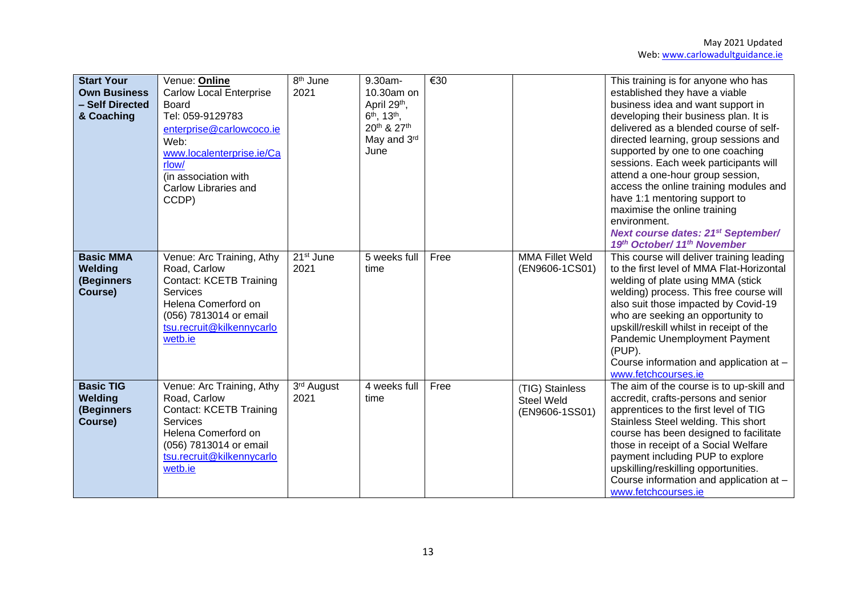| <b>Start Your</b><br><b>Own Business</b><br>- Self Directed<br>& Coaching | Venue: Online<br><b>Carlow Local Enterprise</b><br>Board<br>Tel: 059-9129783<br>enterprise@carlowcoco.ie<br>Web:<br>www.localenterprise.ie/Ca<br>rlow/<br>(in association with<br>Carlow Libraries and<br>CCDP) | 8 <sup>th</sup> June<br>2021 | 9.30am-<br>10.30am on<br>April 29th,<br>6 <sup>th</sup> , 13 <sup>th</sup> ,<br>20th & 27th<br>May and 3rd<br>June | €30  |                                                        | This training is for anyone who has<br>established they have a viable<br>business idea and want support in<br>developing their business plan. It is<br>delivered as a blended course of self-<br>directed learning, group sessions and<br>supported by one to one coaching<br>sessions. Each week participants will<br>attend a one-hour group session,<br>access the online training modules and<br>have 1:1 mentoring support to<br>maximise the online training<br>environment.<br><b>Next course dates: 21st September/</b><br>19th October/ 11th November |
|---------------------------------------------------------------------------|-----------------------------------------------------------------------------------------------------------------------------------------------------------------------------------------------------------------|------------------------------|--------------------------------------------------------------------------------------------------------------------|------|--------------------------------------------------------|----------------------------------------------------------------------------------------------------------------------------------------------------------------------------------------------------------------------------------------------------------------------------------------------------------------------------------------------------------------------------------------------------------------------------------------------------------------------------------------------------------------------------------------------------------------|
| <b>Basic MMA</b><br>Welding<br>(Beginners<br>Course)                      | Venue: Arc Training, Athy<br>Road, Carlow<br><b>Contact: KCETB Training</b><br><b>Services</b><br>Helena Comerford on<br>(056) 7813014 or email<br>tsu.recruit@kilkennycarlo<br>wetb.ie                         | $21st$ June<br>2021          | 5 weeks full<br>time                                                                                               | Free | <b>MMA Fillet Weld</b><br>(EN9606-1CS01)               | This course will deliver training leading<br>to the first level of MMA Flat-Horizontal<br>welding of plate using MMA (stick<br>welding) process. This free course will<br>also suit those impacted by Covid-19<br>who are seeking an opportunity to<br>upskill/reskill whilst in receipt of the<br>Pandemic Unemployment Payment<br>(PUP).<br>Course information and application at -<br>www.fetchcourses.ie                                                                                                                                                   |
| <b>Basic TIG</b><br>Welding<br>(Beginners<br>Course)                      | Venue: Arc Training, Athy<br>Road, Carlow<br><b>Contact: KCETB Training</b><br>Services<br>Helena Comerford on<br>(056) 7813014 or email<br>tsu.recruit@kilkennycarlo<br>wetb.ie                                | 3rd August<br>2021           | 4 weeks full<br>time                                                                                               | Free | (TIG) Stainless<br><b>Steel Weld</b><br>(EN9606-1SS01) | The aim of the course is to up-skill and<br>accredit, crafts-persons and senior<br>apprentices to the first level of TIG<br>Stainless Steel welding. This short<br>course has been designed to facilitate<br>those in receipt of a Social Welfare<br>payment including PUP to explore<br>upskilling/reskilling opportunities.<br>Course information and application at -<br>www.fetchcourses.ie                                                                                                                                                                |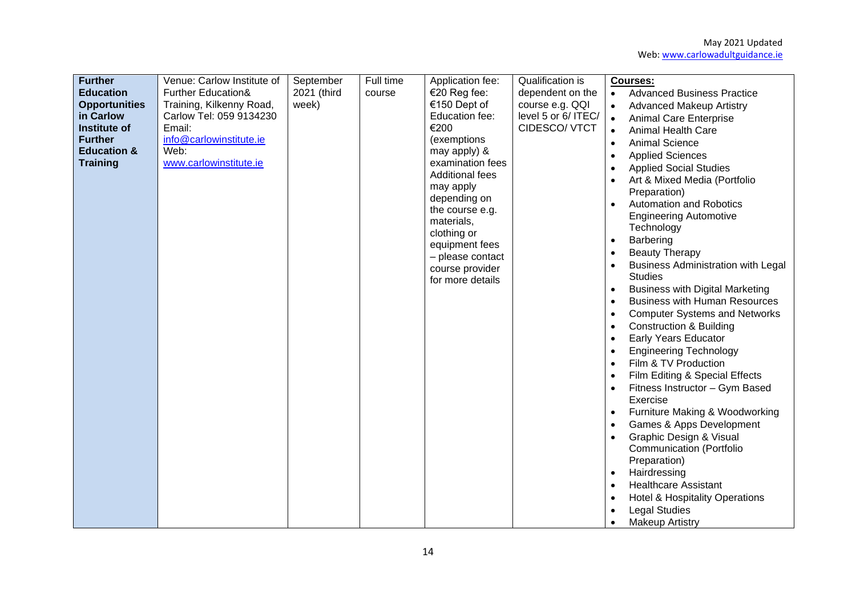| <b>Beauty Therapy</b><br>$\bullet$<br>- please contact<br>$\bullet$<br>course provider<br><b>Studies</b><br>for more details<br><b>Business with Digital Marketing</b><br>$\bullet$<br><b>Business with Human Resources</b><br>$\bullet$<br><b>Construction &amp; Building</b><br>$\bullet$<br><b>Early Years Educator</b><br><b>Engineering Technology</b><br>Film & TV Production<br>Film Editing & Special Effects<br>Fitness Instructor - Gym Based<br>Exercise<br>Furniture Making & Woodworking<br>Games & Apps Development | <b>Further</b><br><b>Education</b><br><b>Opportunities</b><br>in Carlow<br><b>Institute of</b><br><b>Further</b><br><b>Education &amp;</b><br><b>Training</b> | Venue: Carlow Institute of<br><b>Further Education&amp;</b><br>Training, Kilkenny Road,<br>Carlow Tel: 059 9134230<br>Email:<br>info@carlowinstitute.ie<br>Web:<br>www.carlowinstitute.ie | September<br>2021 (third<br>week) | Full time<br>course | Application fee:<br>€20 Reg fee:<br>€150 Dept of<br>Education fee:<br>€200<br>(exemptions<br>may apply) &<br>examination fees<br><b>Additional fees</b><br>may apply<br>depending on<br>the course e.g.<br>materials,<br>clothing or | Qualification is<br>dependent on the<br>course e.g. QQI<br>level 5 or 6/ ITEC/<br>CIDESCO/ VTCT | <b>Courses:</b><br><b>Advanced Business Practice</b><br>$\bullet$<br><b>Advanced Makeup Artistry</b><br>$\bullet$<br><b>Animal Care Enterprise</b><br>$\bullet$<br><b>Animal Health Care</b><br>$\bullet$<br><b>Animal Science</b><br>$\bullet$<br><b>Applied Sciences</b><br><b>Applied Social Studies</b><br>Art & Mixed Media (Portfolio<br>Preparation)<br><b>Automation and Robotics</b><br><b>Engineering Automotive</b><br>Technology<br>Barbering<br>$\bullet$ |
|-----------------------------------------------------------------------------------------------------------------------------------------------------------------------------------------------------------------------------------------------------------------------------------------------------------------------------------------------------------------------------------------------------------------------------------------------------------------------------------------------------------------------------------|---------------------------------------------------------------------------------------------------------------------------------------------------------------|-------------------------------------------------------------------------------------------------------------------------------------------------------------------------------------------|-----------------------------------|---------------------|--------------------------------------------------------------------------------------------------------------------------------------------------------------------------------------------------------------------------------------|-------------------------------------------------------------------------------------------------|------------------------------------------------------------------------------------------------------------------------------------------------------------------------------------------------------------------------------------------------------------------------------------------------------------------------------------------------------------------------------------------------------------------------------------------------------------------------|
| <b>Communication (Portfolio</b><br>Preparation)<br>Hairdressing<br><b>Healthcare Assistant</b><br><b>Hotel &amp; Hospitality Operations</b><br><b>Legal Studies</b>                                                                                                                                                                                                                                                                                                                                                               |                                                                                                                                                               |                                                                                                                                                                                           |                                   |                     | equipment fees                                                                                                                                                                                                                       |                                                                                                 | <b>Business Administration with Legal</b><br><b>Computer Systems and Networks</b><br>Graphic Design & Visual                                                                                                                                                                                                                                                                                                                                                           |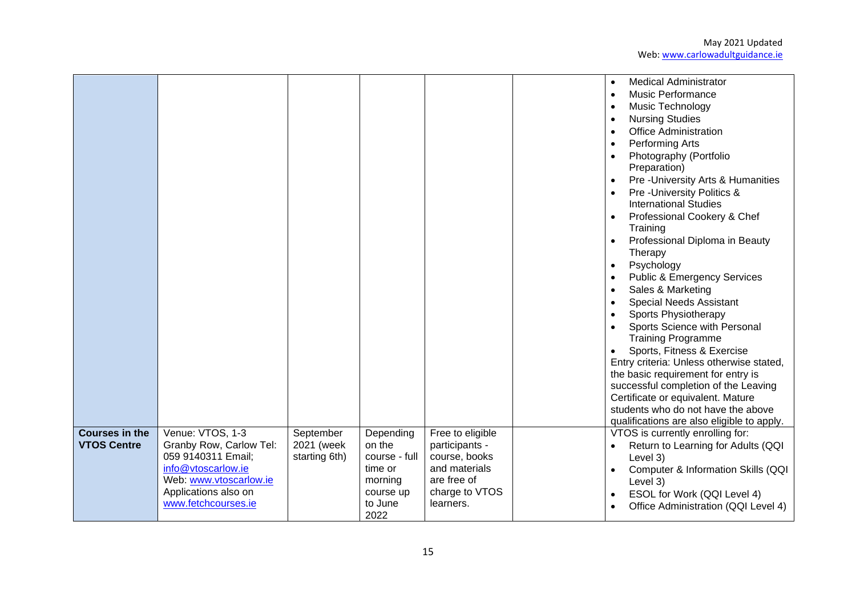|                                             |                                                                                                                                                                  |                                          |                                                                                            |                                                                                                                    | <b>Medical Administrator</b><br>$\bullet$<br><b>Music Performance</b><br>$\bullet$<br>Music Technology<br>$\bullet$<br><b>Nursing Studies</b><br><b>Office Administration</b><br>Performing Arts<br>$\bullet$<br>Photography (Portfolio<br>Preparation)<br>Pre-University Arts & Humanities<br>Pre-University Politics &<br><b>International Studies</b><br>Professional Cookery & Chef<br>Training<br>Professional Diploma in Beauty<br>Therapy<br>Psychology<br>$\bullet$<br><b>Public &amp; Emergency Services</b><br>Sales & Marketing<br>$\bullet$<br><b>Special Needs Assistant</b><br>$\bullet$<br><b>Sports Physiotherapy</b><br>$\bullet$<br>Sports Science with Personal<br><b>Training Programme</b><br>Sports, Fitness & Exercise<br>$\bullet$<br>Entry criteria: Unless otherwise stated,<br>the basic requirement for entry is<br>successful completion of the Leaving<br>Certificate or equivalent. Mature<br>students who do not have the above<br>qualifications are also eligible to apply. |
|---------------------------------------------|------------------------------------------------------------------------------------------------------------------------------------------------------------------|------------------------------------------|--------------------------------------------------------------------------------------------|--------------------------------------------------------------------------------------------------------------------|---------------------------------------------------------------------------------------------------------------------------------------------------------------------------------------------------------------------------------------------------------------------------------------------------------------------------------------------------------------------------------------------------------------------------------------------------------------------------------------------------------------------------------------------------------------------------------------------------------------------------------------------------------------------------------------------------------------------------------------------------------------------------------------------------------------------------------------------------------------------------------------------------------------------------------------------------------------------------------------------------------------|
| <b>Courses in the</b><br><b>VTOS Centre</b> | Venue: VTOS, 1-3<br>Granby Row, Carlow Tel:<br>059 9140311 Email;<br>info@vtoscarlow.ie<br>Web: www.vtoscarlow.ie<br>Applications also on<br>www.fetchcourses.ie | September<br>2021 (week<br>starting 6th) | Depending<br>on the<br>course - full<br>time or<br>morning<br>course up<br>to June<br>2022 | Free to eligible<br>participants -<br>course, books<br>and materials<br>are free of<br>charge to VTOS<br>learners. | VTOS is currently enrolling for:<br>Return to Learning for Adults (QQI)<br>Level 3)<br>Computer & Information Skills (QQI<br>Level 3)<br>ESOL for Work (QQI Level 4)<br>$\bullet$<br>Office Administration (QQI Level 4)                                                                                                                                                                                                                                                                                                                                                                                                                                                                                                                                                                                                                                                                                                                                                                                      |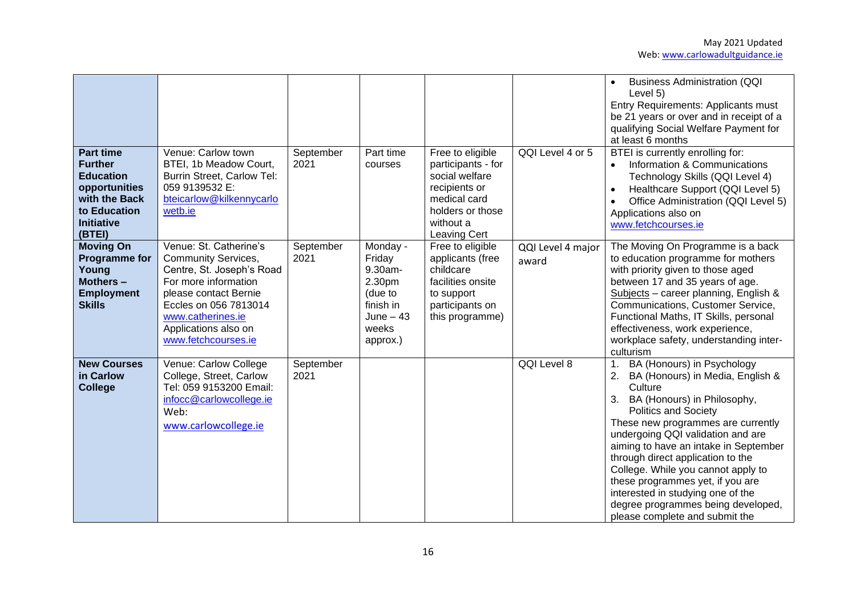| <b>Part time</b><br><b>Further</b><br><b>Education</b>                                              | Venue: Carlow town<br>BTEI, 1b Meadow Court,<br>Burrin Street, Carlow Tel:                                                                                                                                               | September<br>2021 | Part time<br>courses                                                                                | Free to eligible<br>participants - for<br>social welfare                                                                   | QQI Level 4 or 5           | <b>Business Administration (QQI</b><br>$\bullet$<br>Level 5)<br>Entry Requirements: Applicants must<br>be 21 years or over and in receipt of a<br>qualifying Social Welfare Payment for<br>at least 6 months<br>BTEI is currently enrolling for:<br>Information & Communications<br>$\bullet$<br>Technology Skills (QQI Level 4)                                                                                                                                                                          |
|-----------------------------------------------------------------------------------------------------|--------------------------------------------------------------------------------------------------------------------------------------------------------------------------------------------------------------------------|-------------------|-----------------------------------------------------------------------------------------------------|----------------------------------------------------------------------------------------------------------------------------|----------------------------|-----------------------------------------------------------------------------------------------------------------------------------------------------------------------------------------------------------------------------------------------------------------------------------------------------------------------------------------------------------------------------------------------------------------------------------------------------------------------------------------------------------|
| opportunities<br>with the Back<br>to Education<br><b>Initiative</b><br>(BTEI)                       | 059 9139532 E:<br>bteicarlow@kilkennycarlo<br>wetb.ie                                                                                                                                                                    |                   |                                                                                                     | recipients or<br>medical card<br>holders or those<br>without a<br><b>Leaving Cert</b>                                      |                            | Healthcare Support (QQI Level 5)<br>$\bullet$<br>Office Administration (QQI Level 5)<br>$\bullet$<br>Applications also on<br>www.fetchcourses.ie                                                                                                                                                                                                                                                                                                                                                          |
| <b>Moving On</b><br><b>Programme for</b><br>Young<br>Mothers-<br><b>Employment</b><br><b>Skills</b> | Venue: St. Catherine's<br>Community Services,<br>Centre, St. Joseph's Road<br>For more information<br>please contact Bernie<br>Eccles on 056 7813014<br>www.catherines.ie<br>Applications also on<br>www.fetchcourses.ie | September<br>2021 | Monday -<br>Friday<br>9.30am-<br>2.30pm<br>(due to<br>finish in<br>$June - 43$<br>weeks<br>approx.) | Free to eligible<br>applicants (free<br>childcare<br>facilities onsite<br>to support<br>participants on<br>this programme) | QQI Level 4 major<br>award | The Moving On Programme is a back<br>to education programme for mothers<br>with priority given to those aged<br>between 17 and 35 years of age.<br>Subjects - career planning, English &<br>Communications, Customer Service,<br>Functional Maths, IT Skills, personal<br>effectiveness, work experience,<br>workplace safety, understanding inter-<br>culturism                                                                                                                                          |
| <b>New Courses</b><br>in Carlow<br><b>College</b>                                                   | Venue: Carlow College<br>College, Street, Carlow<br>Tel: 059 9153200 Email:<br>infocc@carlowcollege.ie<br>Web:<br>www.carlowcollege.ie                                                                                   | September<br>2021 |                                                                                                     |                                                                                                                            | QQI Level 8                | BA (Honours) in Psychology<br>1.<br>BA (Honours) in Media, English &<br>2.<br>Culture<br>BA (Honours) in Philosophy,<br>3.<br><b>Politics and Society</b><br>These new programmes are currently<br>undergoing QQI validation and are<br>aiming to have an intake in September<br>through direct application to the<br>College. While you cannot apply to<br>these programmes yet, if you are<br>interested in studying one of the<br>degree programmes being developed,<br>please complete and submit the |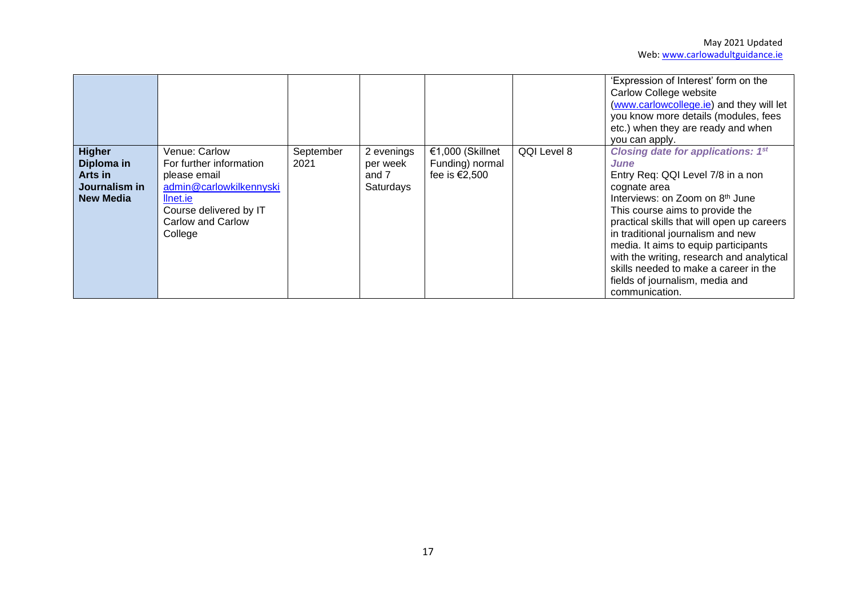|                                                                             |                                                                                                                                                           |                   |                                              |                                                      |             | 'Expression of Interest' form on the<br>Carlow College website<br>(www.carlowcollege.ie) and they will let<br>you know more details (modules, fees<br>etc.) when they are ready and when<br>you can apply.                                                                                                                                                                                                                                                            |
|-----------------------------------------------------------------------------|-----------------------------------------------------------------------------------------------------------------------------------------------------------|-------------------|----------------------------------------------|------------------------------------------------------|-------------|-----------------------------------------------------------------------------------------------------------------------------------------------------------------------------------------------------------------------------------------------------------------------------------------------------------------------------------------------------------------------------------------------------------------------------------------------------------------------|
| <b>Higher</b><br>Diploma in<br>Arts in<br>Journalism in<br><b>New Media</b> | Venue: Carlow<br>For further information<br>please email<br>admin@carlowkilkennyski<br>llnet.ie<br>Course delivered by IT<br>Carlow and Carlow<br>College | September<br>2021 | 2 evenings<br>per week<br>and 7<br>Saturdays | €1,000 (Skillnet<br>Funding) normal<br>fee is €2,500 | QQI Level 8 | <b>Closing date for applications: 1st</b><br><b>June</b><br>Entry Req: QQI Level 7/8 in a non<br>cognate area<br>Interviews: on Zoom on 8 <sup>th</sup> June<br>This course aims to provide the<br>practical skills that will open up careers<br>in traditional journalism and new<br>media. It aims to equip participants<br>with the writing, research and analytical<br>skills needed to make a career in the<br>fields of journalism, media and<br>communication. |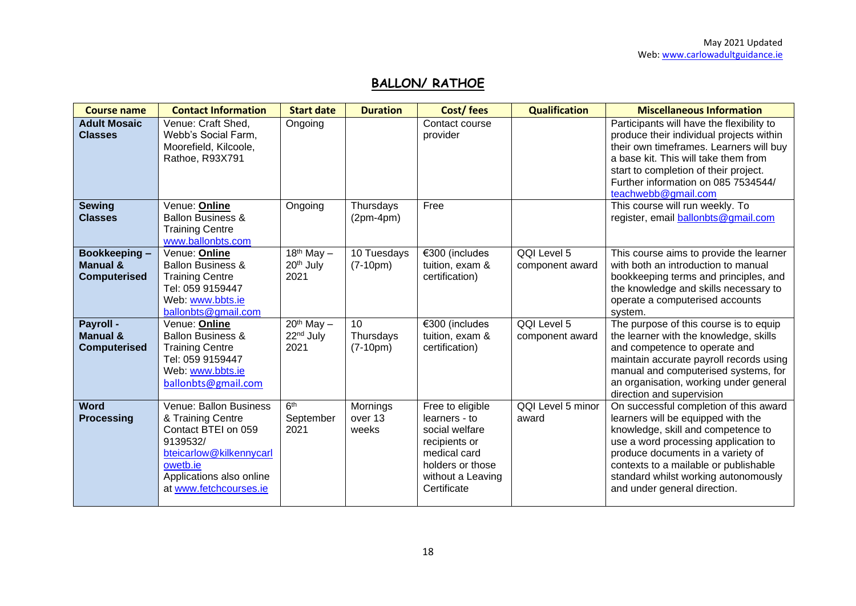## **BALLON/ RATHOE**

| <b>Course name</b>                                      | <b>Contact Information</b>                                                                                                                                                  | <b>Start date</b>                               | <b>Duration</b>                            | Cost/fees                                                                                                                                    | <b>Qualification</b>           | <b>Miscellaneous Information</b>                                                                                                                                                                                                                                                                                 |
|---------------------------------------------------------|-----------------------------------------------------------------------------------------------------------------------------------------------------------------------------|-------------------------------------------------|--------------------------------------------|----------------------------------------------------------------------------------------------------------------------------------------------|--------------------------------|------------------------------------------------------------------------------------------------------------------------------------------------------------------------------------------------------------------------------------------------------------------------------------------------------------------|
| <b>Adult Mosaic</b><br><b>Classes</b>                   | Venue: Craft Shed,<br>Webb's Social Farm,<br>Moorefield, Kilcoole,<br>Rathoe, R93X791                                                                                       | Ongoing                                         |                                            | Contact course<br>provider                                                                                                                   |                                | Participants will have the flexibility to<br>produce their individual projects within<br>their own timeframes. Learners will buy<br>a base kit. This will take them from<br>start to completion of their project.<br>Further information on 085 7534544/<br>teachwebb@gmail.com                                  |
| <b>Sewing</b><br><b>Classes</b>                         | Venue: Online<br><b>Ballon Business &amp;</b><br><b>Training Centre</b><br>www.ballonbts.com                                                                                | Ongoing                                         | Thursdays<br>$(2pm-4pm)$                   | Free                                                                                                                                         |                                | This course will run weekly. To<br>register, email ballonbts@gmail.com                                                                                                                                                                                                                                           |
| Bookkeeping-<br>Manual &<br><b>Computerised</b>         | Venue: Online<br><b>Ballon Business &amp;</b><br><b>Training Centre</b><br>Tel: 059 9159447<br>Web: www.bbts.ie<br>ballonbts@gmail.com                                      | $18th$ May $-$<br>20 <sup>th</sup> July<br>2021 | 10 Tuesdays<br>$(7-10pm)$                  | €300 (includes<br>tuition, exam &<br>certification)                                                                                          | QQI Level 5<br>component award | This course aims to provide the learner<br>with both an introduction to manual<br>bookkeeping terms and principles, and<br>the knowledge and skills necessary to<br>operate a computerised accounts<br>system.                                                                                                   |
| Payroll -<br><b>Manual &amp;</b><br><b>Computerised</b> | Venue: Online<br><b>Ballon Business &amp;</b><br><b>Training Centre</b><br>Tel: 059 9159447<br>Web: www.bbts.ie<br>ballonbts@gmail.com                                      | $20th$ May $-$<br>22 <sup>nd</sup> July<br>2021 | 10 <sup>1</sup><br>Thursdays<br>$(7-10pm)$ | €300 (includes<br>tuition, exam &<br>certification)                                                                                          | QQI Level 5<br>component award | The purpose of this course is to equip<br>the learner with the knowledge, skills<br>and competence to operate and<br>maintain accurate payroll records using<br>manual and computerised systems, for<br>an organisation, working under general<br>direction and supervision                                      |
| <b>Word</b><br><b>Processing</b>                        | Venue: Ballon Business<br>& Training Centre<br>Contact BTEI on 059<br>9139532/<br>bteicarlow@kilkennycarl<br>owetb.ie<br>Applications also online<br>at www.fetchcourses.ie | 6 <sup>th</sup><br>September<br>2021            | Mornings<br>over 13<br>weeks               | Free to eligible<br>learners - to<br>social welfare<br>recipients or<br>medical card<br>holders or those<br>without a Leaving<br>Certificate | QQI Level 5 minor<br>award     | On successful completion of this award<br>learners will be equipped with the<br>knowledge, skill and competence to<br>use a word processing application to<br>produce documents in a variety of<br>contexts to a mailable or publishable<br>standard whilst working autonomously<br>and under general direction. |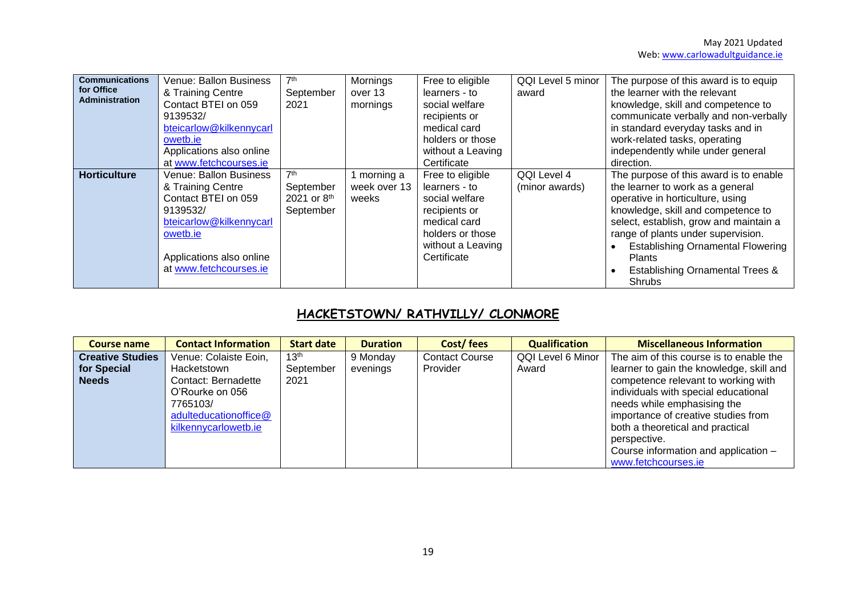| <b>Communications</b><br>for Office<br><b>Administration</b> | Venue: Ballon Business<br>& Training Centre<br>Contact BTEI on 059<br>9139532/<br>bteicarlow@kilkennycarl<br>owetb.ie<br>Applications also online<br>at www.fetchcourses.ie | 7 <sup>th</sup><br>September<br>2021                                 | Mornings<br>over 13<br>mornings    | Free to eligible<br>learners - to<br>social welfare<br>recipients or<br>medical card<br>holders or those<br>without a Leaving<br>Certificate | QQI Level 5 minor<br>award    | The purpose of this award is to equip<br>the learner with the relevant<br>knowledge, skill and competence to<br>communicate verbally and non-verbally<br>in standard everyday tasks and in<br>work-related tasks, operating<br>independently while under general<br>direction.                                                                            |
|--------------------------------------------------------------|-----------------------------------------------------------------------------------------------------------------------------------------------------------------------------|----------------------------------------------------------------------|------------------------------------|----------------------------------------------------------------------------------------------------------------------------------------------|-------------------------------|-----------------------------------------------------------------------------------------------------------------------------------------------------------------------------------------------------------------------------------------------------------------------------------------------------------------------------------------------------------|
| <b>Horticulture</b>                                          | Venue: Ballon Business<br>& Training Centre<br>Contact BTEI on 059<br>9139532/<br>bteicarlow@kilkennycarl<br>owetb.ie<br>Applications also online<br>at www.fetchcourses.ie | 7 <sup>th</sup><br>September<br>2021 or 8 <sup>th</sup><br>September | morning a<br>week over 13<br>weeks | Free to eligible<br>learners - to<br>social welfare<br>recipients or<br>medical card<br>holders or those<br>without a Leaving<br>Certificate | QQI Level 4<br>(minor awards) | The purpose of this award is to enable<br>the learner to work as a general<br>operative in horticulture, using<br>knowledge, skill and competence to<br>select, establish, grow and maintain a<br>range of plants under supervision.<br><b>Establishing Ornamental Flowering</b><br><b>Plants</b><br><b>Establishing Ornamental Trees &amp;</b><br>Shrubs |

# **HACKETSTOWN/ RATHVILLY/ CLONMORE**

| Course name             | <b>Contact Information</b> | <b>Start date</b> | <b>Duration</b> | Cost/fees             | <b>Qualification</b> | <b>Miscellaneous Information</b>         |
|-------------------------|----------------------------|-------------------|-----------------|-----------------------|----------------------|------------------------------------------|
| <b>Creative Studies</b> | Venue: Colaiste Eoin,      | 13 <sup>th</sup>  | 9 Monday        | <b>Contact Course</b> | QQI Level 6 Minor    | The aim of this course is to enable the  |
| for Special             | Hacketstown                | September         | evenings        | Provider              | Award                | learner to gain the knowledge, skill and |
| <b>Needs</b>            | Contact: Bernadette        | 2021              |                 |                       |                      | competence relevant to working with      |
|                         | O'Rourke on 056            |                   |                 |                       |                      | individuals with special educational     |
|                         | 7765103/                   |                   |                 |                       |                      | needs while emphasising the              |
|                         | adulteducationoffice@      |                   |                 |                       |                      | importance of creative studies from      |
|                         | kilkennycarlowetb.ie       |                   |                 |                       |                      | both a theoretical and practical         |
|                         |                            |                   |                 |                       |                      | perspective.                             |
|                         |                            |                   |                 |                       |                      | Course information and application -     |
|                         |                            |                   |                 |                       |                      | www.fetchcourses.ie                      |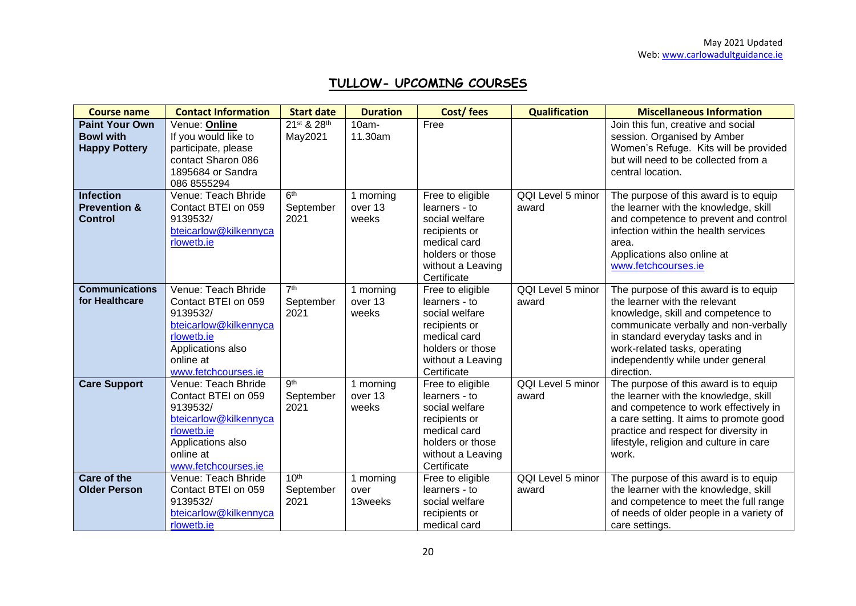# **TULLOW- UPCOMING COURSES**

| <b>Course name</b>                                                | <b>Contact Information</b>                                                                                                                             | <b>Start date</b>                     | <b>Duration</b>               | Cost/fees                                                                                                                                    | <b>Qualification</b>       | <b>Miscellaneous Information</b>                                                                                                                                                                                                                                               |
|-------------------------------------------------------------------|--------------------------------------------------------------------------------------------------------------------------------------------------------|---------------------------------------|-------------------------------|----------------------------------------------------------------------------------------------------------------------------------------------|----------------------------|--------------------------------------------------------------------------------------------------------------------------------------------------------------------------------------------------------------------------------------------------------------------------------|
| <b>Paint Your Own</b><br><b>Bowl with</b><br><b>Happy Pottery</b> | Venue: Online<br>If you would like to<br>participate, please<br>contact Sharon 086<br>1895684 or Sandra<br>086 8555294                                 | 21st & 28th<br>May2021                | $10am -$<br>11.30am           | Free                                                                                                                                         |                            | Join this fun, creative and social<br>session. Organised by Amber<br>Women's Refuge. Kits will be provided<br>but will need to be collected from a<br>central location.                                                                                                        |
| <b>Infection</b><br><b>Prevention &amp;</b><br><b>Control</b>     | Venue: Teach Bhride<br>Contact BTEI on 059<br>9139532/<br>bteicarlow@kilkennyca<br>rlowetb.ie                                                          | 6 <sup>th</sup><br>September<br>2021  | 1 morning<br>over 13<br>weeks | Free to eligible<br>learners - to<br>social welfare<br>recipients or<br>medical card<br>holders or those<br>without a Leaving<br>Certificate | QQI Level 5 minor<br>award | The purpose of this award is to equip<br>the learner with the knowledge, skill<br>and competence to prevent and control<br>infection within the health services<br>area.<br>Applications also online at<br>www.fetchcourses.ie                                                 |
| <b>Communications</b><br>for Healthcare                           | Venue: Teach Bhride<br>Contact BTEI on 059<br>9139532/<br>bteicarlow@kilkennyca<br>rlowetb.ie<br>Applications also<br>online at<br>www.fetchcourses.ie | 7 <sup>th</sup><br>September<br>2021  | 1 morning<br>over 13<br>weeks | Free to eligible<br>learners - to<br>social welfare<br>recipients or<br>medical card<br>holders or those<br>without a Leaving<br>Certificate | QQI Level 5 minor<br>award | The purpose of this award is to equip<br>the learner with the relevant<br>knowledge, skill and competence to<br>communicate verbally and non-verbally<br>in standard everyday tasks and in<br>work-related tasks, operating<br>independently while under general<br>direction. |
| <b>Care Support</b>                                               | Venue: Teach Bhride<br>Contact BTEI on 059<br>9139532/<br>bteicarlow@kilkennyca<br>rlowetb.ie<br>Applications also<br>online at<br>www.fetchcourses.ie | gth<br>September<br>2021              | 1 morning<br>over 13<br>weeks | Free to eligible<br>learners - to<br>social welfare<br>recipients or<br>medical card<br>holders or those<br>without a Leaving<br>Certificate | QQI Level 5 minor<br>award | The purpose of this award is to equip<br>the learner with the knowledge, skill<br>and competence to work effectively in<br>a care setting. It aims to promote good<br>practice and respect for diversity in<br>lifestyle, religion and culture in care<br>work.                |
| Care of the<br><b>Older Person</b>                                | Venue: Teach Bhride<br>Contact BTEI on 059<br>9139532/<br>bteicarlow@kilkennyca<br>rlowetb.ie                                                          | 10 <sup>th</sup><br>September<br>2021 | 1 morning<br>over<br>13weeks  | Free to eligible<br>learners - to<br>social welfare<br>recipients or<br>medical card                                                         | QQI Level 5 minor<br>award | The purpose of this award is to equip<br>the learner with the knowledge, skill<br>and competence to meet the full range<br>of needs of older people in a variety of<br>care settings.                                                                                          |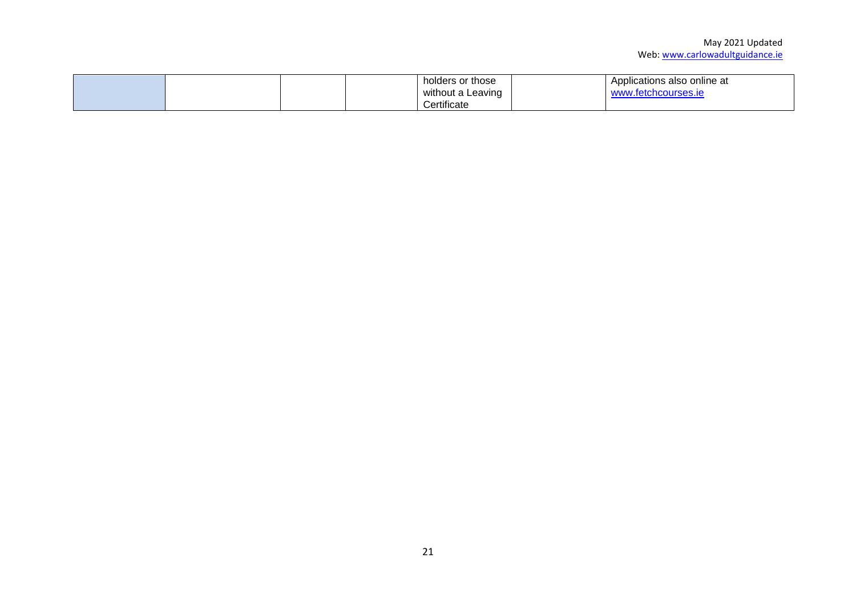|  |  | holders or those  | Applications also online at |
|--|--|-------------------|-----------------------------|
|  |  | without a Leaving | www.fetchcourses.ie         |
|  |  | Certificate       |                             |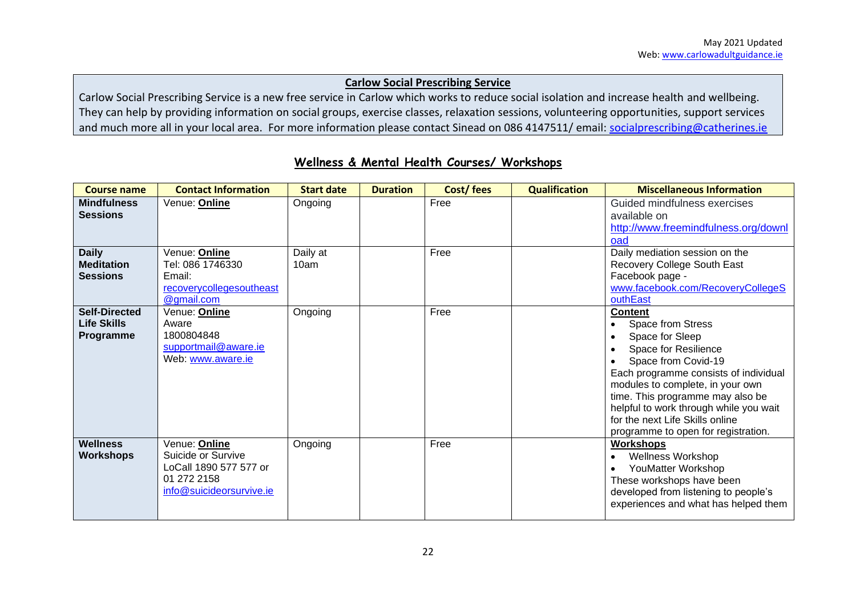#### **Carlow Social Prescribing Service**

Carlow Social Prescribing Service is a new free service in Carlow which works to reduce social isolation and increase health and wellbeing. They can help by providing information on social groups, exercise classes, relaxation sessions, volunteering opportunities, support services and much more all in your local area. For more information please contact Sinead on 086 4147511/ email: [socialprescribing@catherines.ie](mailto:socialprescribing@catherines.ie)

| <b>Course name</b>                                      | <b>Contact Information</b>                                                                               | <b>Start date</b> | <b>Duration</b> | Cost/fees | <b>Qualification</b> | <b>Miscellaneous Information</b>                                                                                                                                                                                                                                                                                                           |
|---------------------------------------------------------|----------------------------------------------------------------------------------------------------------|-------------------|-----------------|-----------|----------------------|--------------------------------------------------------------------------------------------------------------------------------------------------------------------------------------------------------------------------------------------------------------------------------------------------------------------------------------------|
| <b>Mindfulness</b><br><b>Sessions</b>                   | Venue: Online                                                                                            | Ongoing           |                 | Free      |                      | Guided mindfulness exercises<br>available on<br>http://www.freemindfulness.org/downl<br>oad                                                                                                                                                                                                                                                |
| <b>Daily</b><br><b>Meditation</b><br><b>Sessions</b>    | Venue: Online<br>Tel: 086 1746330<br>Email:<br>recoverycollegesoutheast<br>@gmail.com                    | Daily at<br>10am  |                 | Free      |                      | Daily mediation session on the<br>Recovery College South East<br>Facebook page -<br>www.facebook.com/RecoveryCollegeS<br>outhEast                                                                                                                                                                                                          |
| <b>Self-Directed</b><br><b>Life Skills</b><br>Programme | Venue: Online<br>Aware<br>1800804848<br>supportmail@aware.ie<br>Web: www.aware.ie                        | Ongoing           |                 | Free      |                      | <b>Content</b><br>Space from Stress<br>Space for Sleep<br>Space for Resilience<br>Space from Covid-19<br>Each programme consists of individual<br>modules to complete, in your own<br>time. This programme may also be<br>helpful to work through while you wait<br>for the next Life Skills online<br>programme to open for registration. |
| <b>Wellness</b><br><b>Workshops</b>                     | Venue: Online<br>Suicide or Survive<br>LoCall 1890 577 577 or<br>01 272 2158<br>info@suicideorsurvive.ie | Ongoing           |                 | Free      |                      | <b>Workshops</b><br><b>Wellness Workshop</b><br>YouMatter Workshop<br>These workshops have been<br>developed from listening to people's<br>experiences and what has helped them                                                                                                                                                            |

#### **Wellness & Mental Health Courses/ Workshops**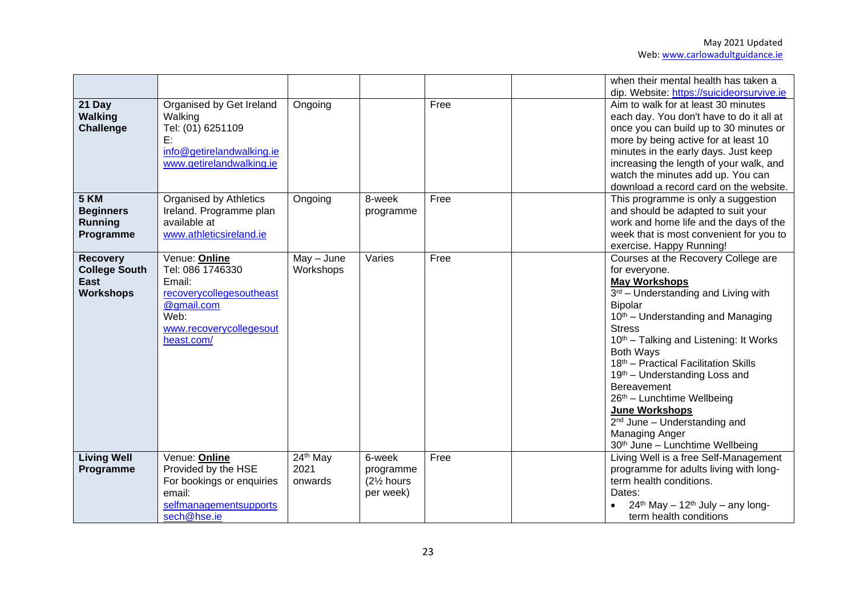|                                                                            |                                                                                                                                        |                             |                                                             |      | when their mental health has taken a                                                                                                                                                                                                                                                                                                                                                                                                                                                                                       |
|----------------------------------------------------------------------------|----------------------------------------------------------------------------------------------------------------------------------------|-----------------------------|-------------------------------------------------------------|------|----------------------------------------------------------------------------------------------------------------------------------------------------------------------------------------------------------------------------------------------------------------------------------------------------------------------------------------------------------------------------------------------------------------------------------------------------------------------------------------------------------------------------|
| 21 Day<br><b>Walking</b><br><b>Challenge</b>                               | Organised by Get Ireland<br>Walking<br>Tel: (01) 6251109<br>E:<br>info@getirelandwalking.ie<br>www.getirelandwalking.ie                | Ongoing                     |                                                             | Free | dip. Website: https://suicideorsurvive.ie<br>Aim to walk for at least 30 minutes<br>each day. You don't have to do it all at<br>once you can build up to 30 minutes or<br>more by being active for at least 10<br>minutes in the early days. Just keep<br>increasing the length of your walk, and<br>watch the minutes add up. You can<br>download a record card on the website.                                                                                                                                           |
| 5 KM<br><b>Beginners</b><br><b>Running</b><br>Programme                    | <b>Organised by Athletics</b><br>Ireland. Programme plan<br>available at<br>www.athleticsireland.ie                                    | Ongoing                     | 8-week<br>programme                                         | Free | This programme is only a suggestion<br>and should be adapted to suit your<br>work and home life and the days of the<br>week that is most convenient for you to<br>exercise. Happy Running!                                                                                                                                                                                                                                                                                                                                 |
| <b>Recovery</b><br><b>College South</b><br><b>East</b><br><b>Workshops</b> | Venue: Online<br>Tel: 086 1746330<br>Email:<br>recoverycollegesoutheast<br>@gmail.com<br>Web:<br>www.recoverycollegesout<br>heast.com/ | $May - June$<br>Workshops   | Varies                                                      | Free | Courses at the Recovery College are<br>for everyone.<br><b>May Workshops</b><br>3rd - Understanding and Living with<br><b>Bipolar</b><br>10 <sup>th</sup> – Understanding and Managing<br><b>Stress</b><br>10 <sup>th</sup> – Talking and Listening: It Works<br><b>Both Ways</b><br>18th - Practical Facilitation Skills<br>19th - Understanding Loss and<br>Bereavement<br>26th - Lunchtime Wellbeing<br>June Workshops<br>2 <sup>nd</sup> June - Understanding and<br>Managing Anger<br>30th June - Lunchtime Wellbeing |
| <b>Living Well</b><br>Programme                                            | Venue: Online<br>Provided by the HSE<br>For bookings or enquiries<br>email:<br>selfmanagementsupports<br>sech@hse.ie                   | 24th May<br>2021<br>onwards | 6-week<br>programme<br>(21/ <sub>2</sub> hours<br>per week) | Free | Living Well is a free Self-Management<br>programme for adults living with long-<br>term health conditions.<br>Dates:<br>$24th$ May - 12 <sup>th</sup> July - any long-<br>term health conditions                                                                                                                                                                                                                                                                                                                           |